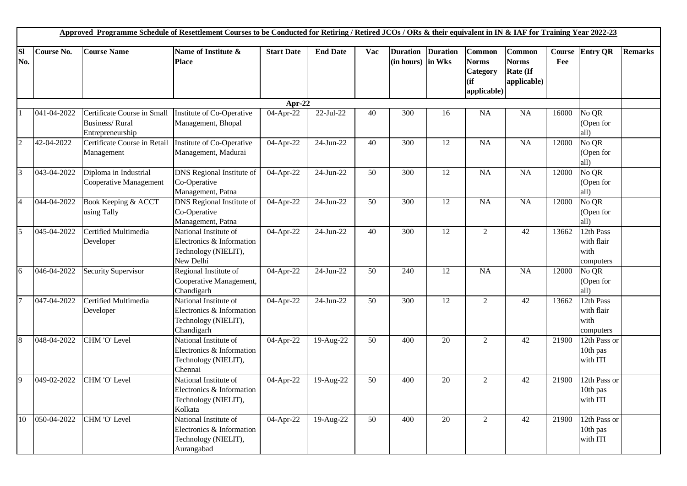|                  |             | Approved Programme Schedule of Resettlement Courses to be Conducted for Retiring / Retired JCOs / ORs & their equivalent in IN & IAF for Training Year 2022-23 |                                                                                          |                   |                 |     |                                        |                 |                                                           |                                                          |               |                                                |                |
|------------------|-------------|----------------------------------------------------------------------------------------------------------------------------------------------------------------|------------------------------------------------------------------------------------------|-------------------|-----------------|-----|----------------------------------------|-----------------|-----------------------------------------------------------|----------------------------------------------------------|---------------|------------------------------------------------|----------------|
| <b>Sl</b><br>No. | Course No.  | <b>Course Name</b>                                                                                                                                             | Name of Institute &<br><b>Place</b>                                                      | <b>Start Date</b> | <b>End Date</b> | Vac | <b>Duration</b><br>$(in hours)$ in Wks | <b>Duration</b> | Common<br><b>Norms</b><br>Category<br>(ii)<br>applicable) | <b>Common</b><br><b>Norms</b><br>Rate (If<br>applicable) | Course<br>Fee | <b>Entry QR</b>                                | <b>Remarks</b> |
|                  |             |                                                                                                                                                                |                                                                                          | Apr-22            |                 |     |                                        |                 |                                                           |                                                          |               |                                                |                |
|                  | 041-04-2022 | Certificate Course in Small<br><b>Business/Rural</b><br>Entrepreneurship                                                                                       | Institute of Co-Operative<br>Management, Bhopal                                          | 04-Apr-22         | $22$ -Jul- $22$ | 40  | 300                                    | 16              | <b>NA</b>                                                 | <b>NA</b>                                                | 16000         | No QR<br>(Open for<br>all)                     |                |
| $\overline{2}$   | 42-04-2022  | Certificate Course in Retail<br>Management                                                                                                                     | Institute of Co-Operative<br>Management, Madurai                                         | 04-Apr-22         | $24$ -Jun-22    | 40  | $\overline{300}$                       | $\overline{12}$ | $\overline{NA}$                                           | $\overline{NA}$                                          | 12000         | No QR<br>(Open for<br>all)                     |                |
| $\overline{3}$   | 043-04-2022 | Diploma in Industrial<br>Cooperative Management                                                                                                                | <b>DNS</b> Regional Institute of<br>Co-Operative<br>Management, Patna                    | 04-Apr-22         | 24-Jun-22       | 50  | 300                                    | 12              | NA                                                        | NA                                                       | 12000         | $\overline{\text{No QR}}$<br>(Open for<br>all) |                |
| $\overline{4}$   | 044-04-2022 | Book Keeping & ACCT<br>using Tally                                                                                                                             | <b>DNS</b> Regional Institute of<br>Co-Operative<br>Management, Patna                    | 04-Apr-22         | 24-Jun-22       | 50  | 300                                    | 12              | <b>NA</b>                                                 | NA                                                       | 12000         | No QR<br>(Open for<br>all)                     |                |
| 5                | 045-04-2022 | Certified Multimedia<br>Developer                                                                                                                              | National Institute of<br>Electronics & Information<br>Technology (NIELIT),<br>New Delhi  | 04-Apr-22         | 24-Jun-22       | 40  | 300                                    | 12              | $\overline{2}$                                            | 42                                                       | 13662         | 12th Pass<br>with flair<br>with<br>computers   |                |
| $\overline{6}$   | 046-04-2022 | Security Supervisor                                                                                                                                            | Regional Institute of<br>Cooperative Management,<br>Chandigarh                           | 04-Apr-22         | $24$ -Jun-22    | 50  | 240                                    | $\overline{12}$ | NA                                                        | NA                                                       | 12000         | No QR<br>(Open for<br>all)                     |                |
| $\overline{7}$   | 047-04-2022 | Certified Multimedia<br>Developer                                                                                                                              | National Institute of<br>Electronics & Information<br>Technology (NIELIT),<br>Chandigarh | 04-Apr-22         | 24-Jun-22       | 50  | 300                                    | 12              | 2                                                         | 42                                                       | 13662         | 12th Pass<br>with flair<br>with<br>computers   |                |
| 8                | 048-04-2022 | CHM 'O' Level                                                                                                                                                  | National Institute of<br>Electronics & Information<br>Technology (NIELIT),<br>Chennai    | 04-Apr-22         | 19-Aug-22       | 50  | 400                                    | 20              | $\overline{2}$                                            | 42                                                       | 21900         | 12th Pass or<br>10th pas<br>with ITI           |                |
| $\overline{Q}$   | 049-02-2022 | CHM 'O' Level                                                                                                                                                  | National Institute of<br>Electronics & Information<br>Technology (NIELIT),<br>Kolkata    | 04-Apr-22         | 19-Aug-22       | 50  | 400                                    | 20              | $\overline{2}$                                            | 42                                                       | 21900         | 12th Pass or<br>10th pas<br>with ITI           |                |
| 10               | 050-04-2022 | CHM 'O' Level                                                                                                                                                  | National Institute of<br>Electronics & Information<br>Technology (NIELIT),<br>Aurangabad | 04-Apr-22         | 19-Aug-22       | 50  | 400                                    | 20              | 2                                                         | 42                                                       | 21900         | 12th Pass or<br>10th pas<br>with ITI           |                |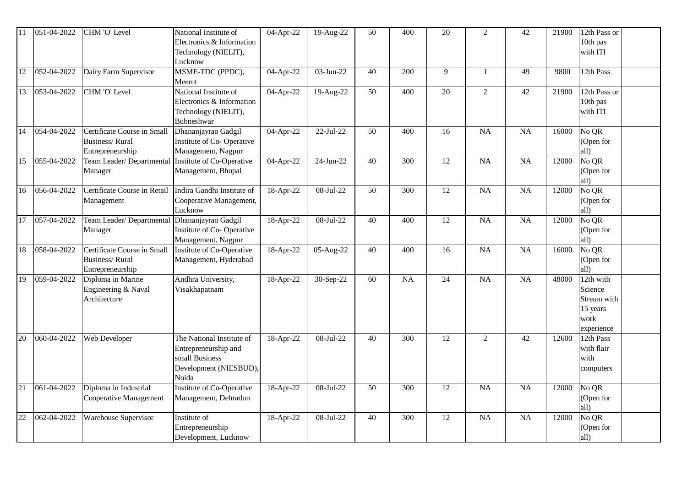|    | 051-04-2022 | CHM 'O' Level                                                     | National Institute of<br>Electronics & Information<br>Technology (NIELIT),<br>Lucknow                  | 04-Apr-22 | 19-Aug-22    | 50 | 400              | 20              | $\overline{2}$ | 42              | 21900 | 12th Pass or<br>10th pas<br>with ITI                                  |
|----|-------------|-------------------------------------------------------------------|--------------------------------------------------------------------------------------------------------|-----------|--------------|----|------------------|-----------------|----------------|-----------------|-------|-----------------------------------------------------------------------|
| 12 | 052-04-2022 | Dairy Farm Supervisor                                             | MSME-TDC (PPDC),<br>Meerut                                                                             | 04-Apr-22 | 03-Jun-22    | 40 | 200              | 9               | 1              | 49              | 9800  | 12th Pass                                                             |
| 13 | 053-04-2022 | CHM 'O' Level                                                     | National Institute of<br>Electronics & Information<br>Technology (NIELIT),<br>Bubneshwar               | 04-Apr-22 | 19-Aug-22    | 50 | 400              | 20              | $\overline{2}$ | 42              | 21900 | $\overline{12}$ th Pass or<br>10th pas<br>with ITI                    |
| 14 | 054-04-2022 | Certificate Course in Small<br>Business/Rural<br>Entrepreneurship | Dhananjayrao Gadgil<br>Institute of Co-Operative<br>Management, Nagpur                                 | 04-Apr-22 | 22-Jul-22    | 50 | 400              | 16              | <b>NA</b>      | NA              | 16000 | No QR<br>(Open for<br>all)                                            |
| 15 | 055-04-2022 | Team Leader/Departmental<br>Manager                               | Institute of Co-Operative<br>Management, Bhopal                                                        | 04-Apr-22 | 24-Jun-22    | 40 | 300              | 12              | <b>NA</b>      | NA              | 12000 | No QR<br>(Open for<br>all)                                            |
| 16 | 056-04-2022 | Certificate Course in Retail<br>Management                        | Indira Gandhi Institute of<br>Cooperative Management,<br>Lucknow                                       | 18-Apr-22 | 08-Jul-22    | 50 | 300              | 12              | <b>NA</b>      | NA              | 12000 | No QR<br>(Open for<br>all)                                            |
| 17 | 057-04-2022 | Team Leader/ Departmental Dhananjayrao Gadgil<br>Manager          | Institute of Co-Operative<br>Management, Nagpur                                                        | 18-Apr-22 | $08-Jul-22$  | 40 | $\overline{400}$ | $\overline{12}$ | NA             | $\overline{NA}$ | 12000 | No QR<br>(Open for<br>all)                                            |
| 18 | 058-04-2022 | Certificate Course in Small<br>Business/Rural<br>Entrepreneurship | <b>Institute of Co-Operative</b><br>Management, Hyderabad                                              | 18-Apr-22 | 05-Aug-22    | 40 | 400              | 16              | <b>NA</b>      | NA              | 16000 | No QR<br>(Open for<br>all)                                            |
| 19 | 059-04-2022 | Diploma in Marine<br>Engineering & Naval<br>Architecture          | Andhra University,<br>Visakhapatnam                                                                    | 18-Apr-22 | 30-Sep-22    | 60 | <b>NA</b>        | 24              | <b>NA</b>      | NA              | 48000 | 12th with<br>Science<br>Stream with<br>15 years<br>work<br>experience |
| 20 | 060-04-2022 | Web Developer                                                     | The National Institute of<br>Entrepreneurship and<br>small Business<br>Development (NIESBUD),<br>Noida | 18-Apr-22 | 08-Jul-22    | 40 | $\overline{300}$ | $\overline{12}$ | $\overline{2}$ | $\overline{42}$ | 12600 | 12th Pass<br>with flair<br>with<br>computers                          |
| 21 | 061-04-2022 | Diploma in Industrial<br>Cooperative Management                   | Institute of Co-Operative<br>Management, Dehradun                                                      | 18-Apr-22 | 08-Jul-22    | 50 | 300              | 12              | <b>NA</b>      | NA              | 12000 | $\overline{\text{No}}$ QR<br>(Open for<br>all)                        |
| 22 | 062-04-2022 | <b>Warehouse Supervisor</b>                                       | Institute of<br>Entrepreneurship<br>Development, Lucknow                                               | 18-Apr-22 | $08$ -Jul-22 | 40 | $\overline{300}$ | 12              | NA             | $\overline{NA}$ | 12000 | No QR<br>(Open for<br>all)                                            |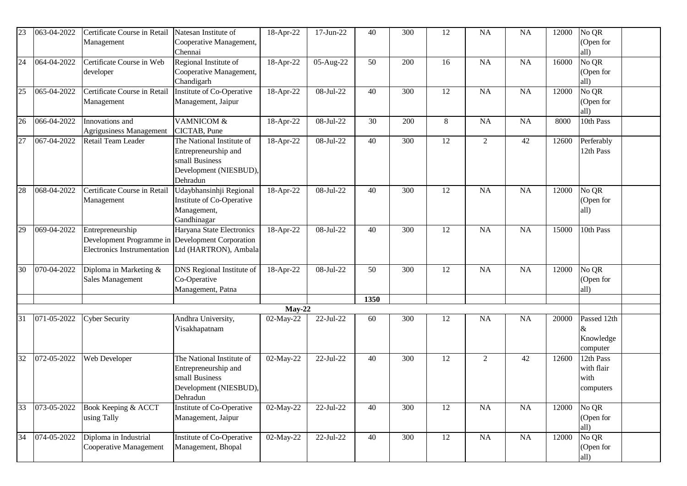| 23 | 063-04-2022 | Certificate Course in Retail<br>Management                                                          | Natesan Institute of<br>Cooperative Management,<br>Chennai                                                | 18-Apr-22             | 17-Jun-22   | 40   | 300              | 12              | NA             | <b>NA</b> | 12000 | No QR<br>(Open for<br>all)                   |  |
|----|-------------|-----------------------------------------------------------------------------------------------------|-----------------------------------------------------------------------------------------------------------|-----------------------|-------------|------|------------------|-----------------|----------------|-----------|-------|----------------------------------------------|--|
| 24 | 064-04-2022 | Certificate Course in Web<br>developer                                                              | Regional Institute of<br>Cooperative Management,<br>Chandigarh                                            | 18-Apr-22             | 05-Aug-22   | 50   | 200              | 16              | <b>NA</b>      | NA        | 16000 | No QR<br>(Open for<br>all)                   |  |
| 25 | 065-04-2022 | Certificate Course in Retail<br>Management                                                          | Institute of Co-Operative<br>Management, Jaipur                                                           | 18-Apr-22             | 08-Jul-22   | 40   | 300              | 12              | <b>NA</b>      | NA        | 12000 | No QR<br>(Open for<br>all)                   |  |
| 26 | 066-04-2022 | Innovations and<br>Agrigusiness Management                                                          | VAMNICOM &<br>CICTAB, Pune                                                                                | 18-Apr-22             | 08-Jul-22   | 30   | 200              | 8               | NA             | <b>NA</b> | 8000  | 10th Pass                                    |  |
| 27 | 067-04-2022 | Retail Team Leader                                                                                  | The National Institute of<br>Entrepreneurship and<br>small Business<br>Development (NIESBUD),<br>Dehradun | 18-Apr-22             | 08-Jul-22   | 40   | 300              | 12              | $\overline{2}$ | 42        | 12600 | Perferably<br>12th Pass                      |  |
| 28 | 068-04-2022 | Certificate Course in Retail<br>Management                                                          | Udaybhansinhji Regional<br>Institute of Co-Operative<br>Management,<br>Gandhinagar                        | 18-Apr-22             | 08-Jul-22   | 40   | 300              | 12              | <b>NA</b>      | NA        | 12000 | No QR<br>(Open for<br>all)                   |  |
| 29 | 069-04-2022 | Entrepreneurship<br>Development Programme in Development Corporation<br>Electronics Instrumentation | Haryana State Electronics<br>Ltd (HARTRON), Ambala                                                        | 18-Apr-22             | 08-Jul-22   | 40   | 300              | 12              | <b>NA</b>      | <b>NA</b> | 15000 | 10th Pass                                    |  |
| 30 | 070-04-2022 | Diploma in Marketing &<br>Sales Management                                                          | <b>DNS</b> Regional Institute of<br>Co-Operative<br>Management, Patna                                     | 18-Apr-22             | 08-Jul-22   | 50   | 300              | 12              | NA             | NA        | 12000 | No QR<br>(Open for<br>all)                   |  |
|    |             |                                                                                                     |                                                                                                           |                       |             | 1350 |                  |                 |                |           |       |                                              |  |
| 31 | 071-05-2022 | <b>Cyber Security</b>                                                                               | Andhra University,<br>Visakhapatnam                                                                       | $May-22$<br>02-May-22 | 22-Jul-22   | 60   | 300              | 12              | NA             | <b>NA</b> | 20000 | Passed 12th<br>&<br>Knowledge<br>computer    |  |
| 32 | 072-05-2022 | Web Developer                                                                                       | The National Institute of<br>Entrepreneurship and<br>small Business<br>Development (NIESBUD),<br>Dehradun | 02-May-22             | 22-Jul-22   | 40   | 300              | 12              | $\overline{2}$ | 42        | 12600 | 12th Pass<br>with flair<br>with<br>computers |  |
| 33 | 073-05-2022 | Book Keeping & ACCT<br>using Tally                                                                  | Institute of Co-Operative<br>Management, Jaipur                                                           | 02-May-22             | 22-Jul-22   | 40   | $\overline{300}$ | $\overline{12}$ | NA             | NA        | 12000 | No QR<br>(Open for<br>all)                   |  |
| 34 | 074-05-2022 | Diploma in Industrial<br>Cooperative Management                                                     | Institute of Co-Operative<br>Management, Bhopal                                                           | 02-May-22             | $22-Jul-22$ | 40   | 300              | 12              | NA             | NA        | 12000 | No QR<br>(Open for<br>all)                   |  |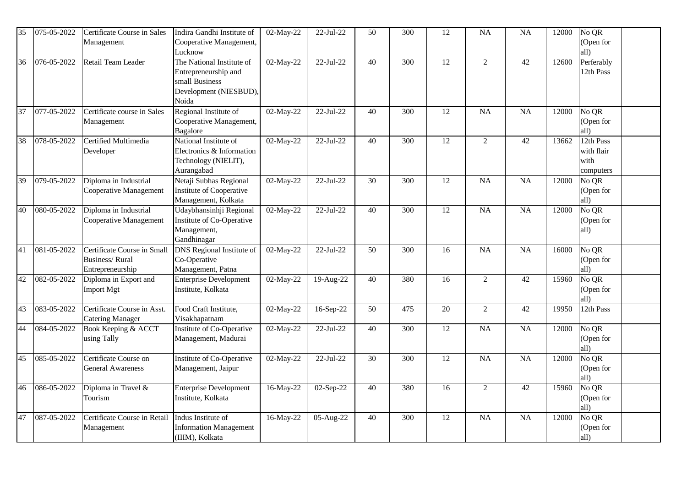| 35 | 075-05-2022 | Certificate Course in Sales<br>Management                                | Indira Gandhi Institute of<br>Cooperative Management,<br>Lucknow                                       | 02-May-22 | 22-Jul-22   | 50              | 300              | 12              | <b>NA</b>       | <b>NA</b>       | 12000 | No QR<br>(Open for<br>all)                   |  |
|----|-------------|--------------------------------------------------------------------------|--------------------------------------------------------------------------------------------------------|-----------|-------------|-----------------|------------------|-----------------|-----------------|-----------------|-------|----------------------------------------------|--|
| 36 | 076-05-2022 | Retail Team Leader                                                       | The National Institute of<br>Entrepreneurship and<br>small Business<br>Development (NIESBUD),<br>Noida | 02-May-22 | $22-Jul-22$ | 40              | 300              | $\overline{12}$ | $\overline{2}$  | 42              | 12600 | Perferably<br>12th Pass                      |  |
| 37 | 077-05-2022 | Certificate course in Sales<br>Management                                | Regional Institute of<br>Cooperative Management,<br>Bagalore                                           | 02-May-22 | 22-Jul-22   | 40              | 300              | 12              | <b>NA</b>       | NA              | 12000 | No QR<br>(Open for<br>all)                   |  |
| 38 | 078-05-2022 | Certified Multimedia<br>Developer                                        | National Institute of<br>Electronics & Information<br>Technology (NIELIT),<br>Aurangabad               | 02-May-22 | 22-Jul-22   | 40              | 300              | 12              | $\overline{2}$  | 42              | 13662 | 12th Pass<br>with flair<br>with<br>computers |  |
| 39 | 079-05-2022 | Diploma in Industrial<br>Cooperative Management                          | Netaji Subhas Regional<br>Institute of Cooperative<br>Management, Kolkata                              | 02-May-22 | 22-Jul-22   | 30              | 300              | 12              | <b>NA</b>       | NA              | 12000 | No QR<br>(Open for<br>all)                   |  |
| 40 | 080-05-2022 | Diploma in Industrial<br>Cooperative Management                          | Udaybhansinhji Regional<br>Institute of Co-Operative<br>Management,<br>Gandhinagar                     | 02-May-22 | 22-Jul-22   | 40              | 300              | 12              | <b>NA</b>       | NA              | 12000 | No QR<br>(Open for<br>all)                   |  |
| 41 | 081-05-2022 | Certificate Course in Small<br><b>Business/Rural</b><br>Entrepreneurship | <b>DNS</b> Regional Institute of<br>Co-Operative<br>Management, Patna                                  | 02-May-22 | 22-Jul-22   | 50              | 300              | 16              | <b>NA</b>       | <b>NA</b>       | 16000 | No QR<br>(Open for<br>all)                   |  |
| 42 | 082-05-2022 | Diploma in Export and<br>Import Mgt                                      | Enterprise Development<br>Institute, Kolkata                                                           | 02-May-22 | $19-Aug-22$ | 40              | 380              | 16              | $\overline{2}$  | 42              | 15960 | No QR<br>(Open for<br>all)                   |  |
| 43 | 083-05-2022 | Certificate Course in Asst.<br><b>Catering Manager</b>                   | Food Craft Institute,<br>Visakhapatnam                                                                 | 02-May-22 | 16-Sep-22   | $\overline{50}$ | 475              | $\overline{20}$ | $\overline{2}$  | $\overline{42}$ | 19950 | 12th Pass                                    |  |
| 44 | 084-05-2022 | Book Keeping & ACCT<br>using Tally                                       | Institute of Co-Operative<br>Management, Madurai                                                       | 02-May-22 | $22-Jul-22$ | 40              | $\overline{300}$ | 12              | $\overline{NA}$ | <b>NA</b>       | 12000 | No QR<br>(Open for<br>all)                   |  |
| 45 | 085-05-2022 | Certificate Course on<br><b>General Awareness</b>                        | Institute of Co-Operative<br>Management, Jaipur                                                        | 02-May-22 | 22-Jul-22   | 30              | 300              | 12              | <b>NA</b>       | NA              | 12000 | No QR<br>(Open for<br>all)                   |  |
| 46 | 086-05-2022 | Diploma in Travel &<br>Tourism                                           | <b>Enterprise Development</b><br>Institute, Kolkata                                                    | 16-May-22 | 02-Sep-22   | 40              | 380              | 16              | $\overline{2}$  | 42              | 15960 | No QR<br>(Open for<br>all)                   |  |
| 47 | 087-05-2022 | Certificate Course in Retail<br>Management                               | Indus Institute of<br><b>Information Management</b><br>(IIIM), Kolkata                                 | 16-May-22 | 05-Aug-22   | 40              | $\overline{300}$ | 12              | $\overline{NA}$ | $\overline{NA}$ | 12000 | NoQR<br>(Open for<br>all)                    |  |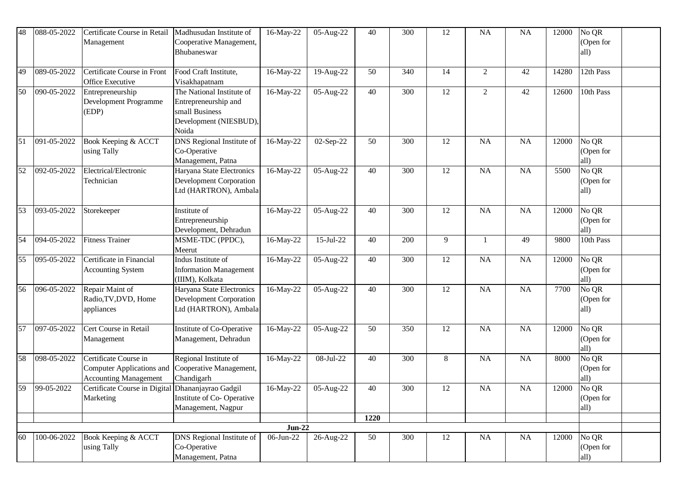| 48 | 088-05-2022 | Certificate Course in Retail<br>Management                                         | Madhusudan Institute of<br>Cooperative Management,<br>Bhubaneswar                                      | 16-May-22             | 05-Aug-22 | 40   | 300 | 12 | <b>NA</b>      | <b>NA</b> | 12000 | No QR<br>(Open for<br>all)                     |  |
|----|-------------|------------------------------------------------------------------------------------|--------------------------------------------------------------------------------------------------------|-----------------------|-----------|------|-----|----|----------------|-----------|-------|------------------------------------------------|--|
| 49 | 089-05-2022 | Certificate Course in Front<br>Office Executive                                    | Food Craft Institute,<br>Visakhapatnam                                                                 | 16-May-22             | 19-Aug-22 | 50   | 340 | 14 | $\overline{2}$ | 42        | 14280 | 12th Pass                                      |  |
| 50 | 090-05-2022 | Entrepreneurship<br>Development Programme<br>(EDP)                                 | The National Institute of<br>Entrepreneurship and<br>small Business<br>Development (NIESBUD),<br>Noida | 16-May-22             | 05-Aug-22 | 40   | 300 | 12 | $\overline{2}$ | 42        | 12600 | 10th Pass                                      |  |
| 51 | 091-05-2022 | Book Keeping & ACCT<br>using Tally                                                 | <b>DNS</b> Regional Institute of<br>Co-Operative<br>Management, Patna                                  | 16-May-22             | 02-Sep-22 | 50   | 300 | 12 | <b>NA</b>      | NA        | 12000 | No QR<br>(Open for<br>all)                     |  |
| 52 | 092-05-2022 | Electrical/Electronic<br>Technician                                                | Haryana State Electronics<br><b>Development Corporation</b><br>Ltd (HARTRON), Ambala                   | 16-May-22             | 05-Aug-22 | 40   | 300 | 12 | <b>NA</b>      | NA        | 5500  | No QR<br>(Open for<br>all)                     |  |
| 53 | 093-05-2022 | Storekeeper                                                                        | Institute of<br>Entrepreneurship<br>Development, Dehradun                                              | 16-May-22             | 05-Aug-22 | 40   | 300 | 12 | <b>NA</b>      | NA        | 12000 | No QR<br>(Open for<br>all)                     |  |
| 54 | 094-05-2022 | <b>Fitness Trainer</b>                                                             | MSME-TDC (PPDC),<br>Meerut                                                                             | 16-May-22             | 15-Jul-22 | 40   | 200 | 9  | 1              | 49        | 9800  | 10th Pass                                      |  |
| 55 | 095-05-2022 | Certificate in Financial<br><b>Accounting System</b>                               | Indus Institute of<br><b>Information Management</b><br>(IIIM), Kolkata                                 | 16-May-22             | 05-Aug-22 | 40   | 300 | 12 | <b>NA</b>      | NA        | 12000 | $\overline{\text{No}}$ QR<br>(Open for<br>all) |  |
| 56 | 096-05-2022 | Repair Maint of<br>Radio, TV, DVD, Home<br>appliances                              | Haryana State Electronics<br><b>Development Corporation</b><br>Ltd (HARTRON), Ambala                   | 16-May-22             | 05-Aug-22 | 40   | 300 | 12 | <b>NA</b>      | NA        | 7700  | No QR<br>(Open for<br>all)                     |  |
| 57 | 097-05-2022 | Cert Course in Retail<br>Management                                                | Institute of Co-Operative<br>Management, Dehradun                                                      | 16-May-22             | 05-Aug-22 | 50   | 350 | 12 | <b>NA</b>      | NA        | 12000 | $\overline{\text{No}}$ QR<br>(Open for<br>all) |  |
| 58 | 098-05-2022 | Certificate Course in<br>Computer Applications and<br><b>Accounting Management</b> | Regional Institute of<br>Cooperative Management,<br>Chandigarh                                         | 16-May-22             | 08-Jul-22 | 40   | 300 | 8  | <b>NA</b>      | NA        | 8000  | No QR<br>(Open for<br>all)                     |  |
| 59 | 99-05-2022  | Certificate Course in Digital Dhananjayrao Gadgil<br>Marketing                     | Institute of Co-Operative<br>Management, Nagpur                                                        | 16-May-22             | 05-Aug-22 | 40   | 300 | 12 | <b>NA</b>      | NA        | 12000 | No QR<br>(Open for<br>all)                     |  |
|    |             |                                                                                    |                                                                                                        |                       |           | 1220 |     |    |                |           |       |                                                |  |
| 60 | 100-06-2022 | Book Keeping & ACCT                                                                | DNS Regional Institute of                                                                              | $Jun-22$<br>06-Jun-22 | 26-Aug-22 | 50   | 300 | 12 | $\rm NA$       | NA        | 12000 | No QR                                          |  |
|    |             | using Tally                                                                        | Co-Operative<br>Management, Patna                                                                      |                       |           |      |     |    |                |           |       | (Open for<br>all)                              |  |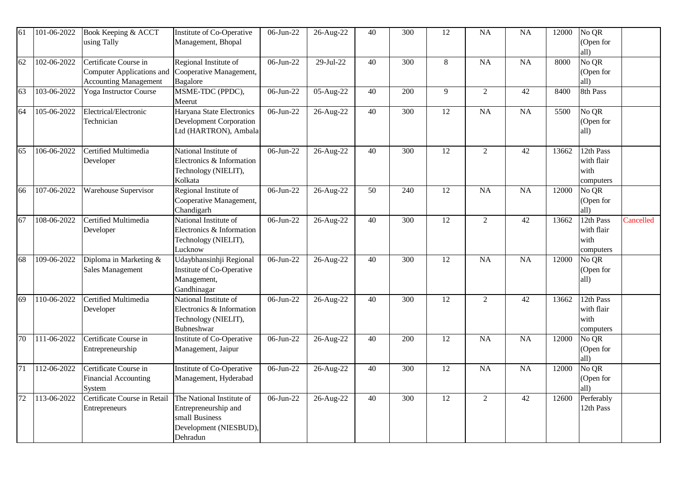| 61 | 101-06-2022 | Book Keeping & ACCT<br>using Tally                                                 | Institute of Co-Operative<br>Management, Bhopal                                                           | 06-Jun-22 | 26-Aug-22   | 40              | 300              | 12              | <b>NA</b>       | NA              | 12000 | No QR<br>(Open for<br>all)                     |           |
|----|-------------|------------------------------------------------------------------------------------|-----------------------------------------------------------------------------------------------------------|-----------|-------------|-----------------|------------------|-----------------|-----------------|-----------------|-------|------------------------------------------------|-----------|
| 62 | 102-06-2022 | Certificate Course in<br>Computer Applications and<br><b>Accounting Management</b> | Regional Institute of<br>Cooperative Management,<br>Bagalore                                              | 06-Jun-22 | $29-Jul-22$ | 40              | $\overline{300}$ | 8               | NA              | $\overline{NA}$ | 8000  | No QR<br>(Open for<br>all)                     |           |
| 63 | 103-06-2022 | Yoga Instructor Course                                                             | MSME-TDC (PPDC),<br>Meerut                                                                                | 06-Jun-22 | 05-Aug-22   | 40              | 200              | 9               | $\overline{2}$  | 42              | 8400  | 8th Pass                                       |           |
| 64 | 105-06-2022 | Electrical/Electronic<br>Technician                                                | Haryana State Electronics<br><b>Development Corporation</b><br>Ltd (HARTRON), Ambala                      | 06-Jun-22 | 26-Aug-22   | 40              | 300              | 12              | <b>NA</b>       | NA              | 5500  | $\overline{\text{No}}$ QR<br>(Open for<br>all) |           |
| 65 | 106-06-2022 | Certified Multimedia<br>Developer                                                  | National Institute of<br>Electronics & Information<br>Technology (NIELIT),<br>Kolkata                     | 06-Jun-22 | 26-Aug-22   | 40              | $\overline{300}$ | $\overline{12}$ | $\sqrt{2}$      | 42              | 13662 | 12th Pass<br>with flair<br>with<br>computers   |           |
| 66 | 107-06-2022 | Warehouse Supervisor                                                               | Regional Institute of<br>Cooperative Management,<br>Chandigarh                                            | 06-Jun-22 | 26-Aug-22   | 50              | 240              | 12              | <b>NA</b>       | NA              | 12000 | No QR<br>(Open for<br>all)                     |           |
| 67 | 108-06-2022 | Certified Multimedia<br>Developer                                                  | National Institute of<br>Electronics & Information<br>Technology (NIELIT),<br>Lucknow                     | 06-Jun-22 | 26-Aug-22   | $\overline{40}$ | 300              | 12              | $\overline{2}$  | $\overline{42}$ | 13662 | 12th Pass<br>with flair<br>with<br>computers   | Cancelled |
| 68 | 109-06-2022 | Diploma in Marketing &<br>Sales Management                                         | Udaybhansinhji Regional<br>Institute of Co-Operative<br>Management,<br>Gandhinagar                        | 06-Jun-22 | 26-Aug-22   | 40              | 300              | 12              | <b>NA</b>       | NA              | 12000 | No QR<br>(Open for<br>all)                     |           |
| 69 | 110-06-2022 | Certified Multimedia<br>Developer                                                  | National Institute of<br>Electronics & Information<br>Technology (NIELIT),<br>Bubneshwar                  | 06-Jun-22 | 26-Aug-22   | 40              | 300              | $\overline{12}$ | $\overline{2}$  | 42              | 13662 | 12th Pass<br>with flair<br>with<br>computers   |           |
| 70 | 111-06-2022 | Certificate Course in<br>Entrepreneurship                                          | Institute of Co-Operative<br>Management, Jaipur                                                           | 06-Jun-22 | 26-Aug-22   | 40              | 200              | 12              | <b>NA</b>       | NA              | 12000 | No QR<br>(Open for<br>all)                     |           |
| 71 | 112-06-2022 | Certificate Course in<br>Financial Accounting<br>System                            | Institute of Co-Operative<br>Management, Hyderabad                                                        | 06-Jun-22 | 26-Aug-22   | 40              | 300              | $\overline{12}$ | $\overline{NA}$ | NA              | 12000 | No QR<br>(Open for<br>all)                     |           |
| 72 | 113-06-2022 | Certificate Course in Retail<br>Entrepreneurs                                      | The National Institute of<br>Entrepreneurship and<br>small Business<br>Development (NIESBUD),<br>Dehradun | 06-Jun-22 | 26-Aug-22   | 40              | 300              | 12              | $\overline{2}$  | 42              | 12600 | Perferably<br>12th Pass                        |           |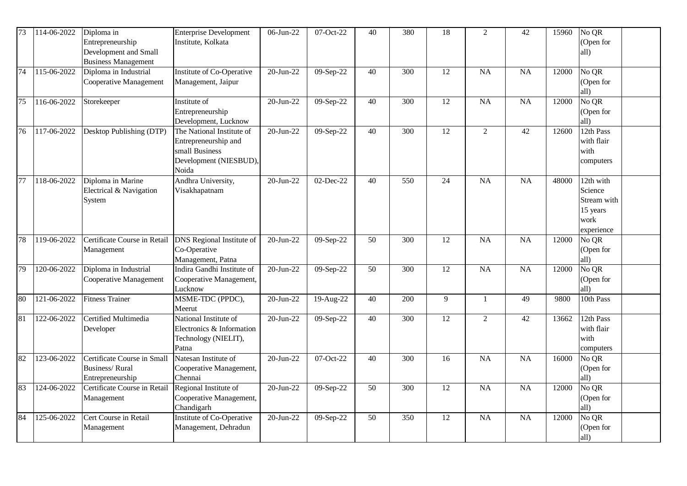| $\overline{73}$ | 114-06-2022 | Diploma in<br>Entrepreneurship<br>Development and Small<br><b>Business Management</b> | <b>Enterprise Development</b><br>Institute, Kolkata                                                    | $06$ -Jun-22  | $07-Oct-22$  | 40 | 380              | 18              | $\overline{2}$  | 42              | 15960 | No QR<br>(Open for<br>all)                                            |
|-----------------|-------------|---------------------------------------------------------------------------------------|--------------------------------------------------------------------------------------------------------|---------------|--------------|----|------------------|-----------------|-----------------|-----------------|-------|-----------------------------------------------------------------------|
| 74              | 115-06-2022 | Diploma in Industrial<br>Cooperative Management                                       | Institute of Co-Operative<br>Management, Jaipur                                                        | 20-Jun-22     | 09-Sep-22    | 40 | 300              | 12              | <b>NA</b>       | <b>NA</b>       | 12000 | No QR<br>(Open for<br>all)                                            |
| $\overline{75}$ | 116-06-2022 | Storekeeper                                                                           | Institute of<br>Entrepreneurship<br>Development, Lucknow                                               | 20-Jun-22     | 09-Sep-22    | 40 | 300              | 12              | NA              | NA              | 12000 | No QR<br>(Open for<br>all)                                            |
| 76              | 117-06-2022 | Desktop Publishing (DTP)                                                              | The National Institute of<br>Entrepreneurship and<br>small Business<br>Development (NIESBUD),<br>Noida | $20 - Jun-22$ | 09-Sep-22    | 40 | $\overline{300}$ | $\overline{12}$ | $\overline{2}$  | $\overline{42}$ | 12600 | 12th Pass<br>with flair<br>with<br>computers                          |
| 77              | 118-06-2022 | Diploma in Marine<br>Electrical & Navigation<br>System                                | Andhra University,<br>Visakhapatnam                                                                    | 20-Jun-22     | 02-Dec-22    | 40 | 550              | 24              | <b>NA</b>       | NA              | 48000 | 12th with<br>Science<br>Stream with<br>15 years<br>work<br>experience |
| 78              | 119-06-2022 | Certificate Course in Retail<br>Management                                            | <b>DNS</b> Regional Institute of<br>Co-Operative<br>Management, Patna                                  | 20-Jun-22     | 09-Sep-22    | 50 | $\overline{300}$ | $\overline{12}$ | $\overline{NA}$ | $\overline{NA}$ | 12000 | No QR<br>(Open for<br>all)                                            |
| 79              | 120-06-2022 | Diploma in Industrial<br>Cooperative Management                                       | Indira Gandhi Institute of<br>Cooperative Management,<br>Lucknow                                       | 20-Jun-22     | 09-Sep- $22$ | 50 | 300              | 12              | <b>NA</b>       | NA              | 12000 | No QR<br>(Open for<br>all)                                            |
| 80              | 121-06-2022 | <b>Fitness Trainer</b>                                                                | MSME-TDC (PPDC),<br>Meerut                                                                             | 20-Jun-22     | 19-Aug-22    | 40 | 200              | 9               | $\mathbf{1}$    | 49              | 9800  | 10th Pass                                                             |
| 81              | 122-06-2022 | Certified Multimedia<br>Developer                                                     | National Institute of<br>Electronics & Information<br>Technology (NIELIT),<br>Patna                    | 20-Jun-22     | 09-Sep-22    | 40 | 300              | 12              | $\overline{2}$  | 42              | 13662 | 12th Pass<br>with flair<br>with<br>computers                          |
| 82              | 123-06-2022 | Certificate Course in Small<br><b>Business/Rural</b><br>Entrepreneurship              | Natesan Institute of<br>Cooperative Management,<br>Chennai                                             | 20-Jun-22     | 07-Oct-22    | 40 | 300              | 16              | <b>NA</b>       | NA              | 16000 | No QR<br>(Open for<br>all)                                            |
| 83              | 124-06-2022 | Certificate Course in Retail<br>Management                                            | Regional Institute of<br>Cooperative Management,<br>Chandigarh                                         | 20-Jun-22     | 09-Sep-22    | 50 | 300              | 12              | NA              | NA              | 12000 | No QR<br>(Open for<br>all)                                            |
| 84              | 125-06-2022 | Cert Course in Retail<br>Management                                                   | <b>Institute of Co-Operative</b><br>Management, Dehradun                                               | $20$ -Jun-22  | 09-Sep-22    | 50 | 350              | $\overline{12}$ | $\overline{NA}$ | $\overline{NA}$ | 12000 | No QR<br>(Open for<br>all)                                            |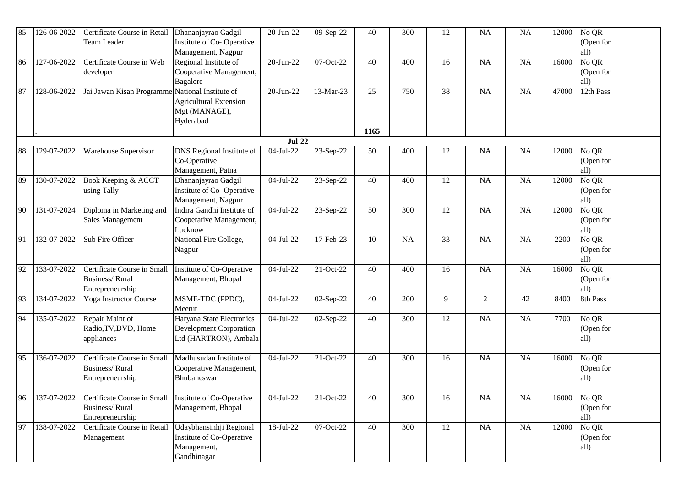| 85 | 126-06-2022 | Certificate Course in Retail<br>Team Leader             | Dhananjayrao Gadgil<br>Institute of Co-Operative | 20-Jun-22   | 09-Sep-22   | 40   | 300       | 12 | <b>NA</b>      | <b>NA</b> | 12000 | No QR<br>(Open for        |  |
|----|-------------|---------------------------------------------------------|--------------------------------------------------|-------------|-------------|------|-----------|----|----------------|-----------|-------|---------------------------|--|
|    |             |                                                         | Management, Nagpur                               |             |             |      |           |    |                |           |       | all)                      |  |
| 86 | 127-06-2022 | Certificate Course in Web                               | Regional Institute of                            | 20-Jun-22   | 07-Oct-22   | 40   | 400       | 16 | NA             | <b>NA</b> | 16000 | No QR                     |  |
|    |             | developer                                               | Cooperative Management,                          |             |             |      |           |    |                |           |       | (Open for                 |  |
|    |             |                                                         | Bagalore                                         |             |             |      |           |    |                |           |       | all)                      |  |
| 87 | 128-06-2022 | Jai Jawan Kisan Programme                               | National Institute of                            | 20-Jun-22   | 13-Mar-23   | 25   | 750       | 38 | NA             | <b>NA</b> | 47000 | 12th Pass                 |  |
|    |             |                                                         | <b>Agricultural Extension</b>                    |             |             |      |           |    |                |           |       |                           |  |
|    |             |                                                         | Mgt (MANAGE),                                    |             |             |      |           |    |                |           |       |                           |  |
|    |             |                                                         | Hyderabad                                        |             |             |      |           |    |                |           |       |                           |  |
|    |             |                                                         |                                                  | $Jul-22$    |             | 1165 |           |    |                |           |       |                           |  |
| 88 | 129-07-2022 | Warehouse Supervisor                                    | <b>DNS</b> Regional Institute of                 | 04-Jul-22   | 23-Sep-22   | 50   | 400       | 12 | NA             | NA        | 12000 | No QR                     |  |
|    |             |                                                         | Co-Operative                                     |             |             |      |           |    |                |           |       | (Open for                 |  |
|    |             |                                                         | Management, Patna                                |             |             |      |           |    |                |           |       | all)                      |  |
| 89 | 130-07-2022 | Book Keeping & ACCT                                     | Dhananjayrao Gadgil                              | 04-Jul-22   | 23-Sep-22   | 40   | 400       | 12 | NA             | NA        | 12000 | No QR                     |  |
|    |             | using Tally                                             | Institute of Co-Operative                        |             |             |      |           |    |                |           |       | (Open for                 |  |
|    |             |                                                         | Management, Nagpur                               |             |             |      |           |    |                |           |       | all)                      |  |
| 90 | 131-07-2024 | Diploma in Marketing and                                | Indira Gandhi Institute of                       | 04-Jul-22   | 23-Sep-22   | 50   | 300       | 12 | NA             | <b>NA</b> | 12000 | No QR                     |  |
|    |             | Sales Management                                        | Cooperative Management,                          |             |             |      |           |    |                |           |       | (Open for                 |  |
|    |             |                                                         | Lucknow                                          |             |             |      |           |    |                |           |       | all)                      |  |
| 91 | 132-07-2022 | Sub Fire Officer                                        | National Fire College,                           | 04-Jul-22   | 17-Feb-23   | 10   | <b>NA</b> | 33 | NA             | NA        | 2200  | No QR                     |  |
|    |             |                                                         | Nagpur                                           |             |             |      |           |    |                |           |       | (Open for                 |  |
|    |             |                                                         |                                                  |             |             |      |           |    |                |           |       | all)                      |  |
| 92 | 133-07-2022 | Certificate Course in Small                             | Institute of Co-Operative                        | 04-Jul-22   | 21-Oct-22   | 40   | 400       | 16 | NA             | <b>NA</b> | 16000 | No QR                     |  |
|    |             | <b>Business/Rural</b>                                   | Management, Bhopal                               |             |             |      |           |    |                |           |       | (Open for                 |  |
|    |             | Entrepreneurship                                        |                                                  |             |             |      |           |    |                |           |       | all)                      |  |
| 93 | 134-07-2022 | Yoga Instructor Course                                  | MSME-TDC (PPDC),                                 | 04-Jul-22   | 02-Sep-22   | 40   | 200       | 9  | $\overline{2}$ | 42        | 8400  | 8th Pass                  |  |
|    |             |                                                         | Meerut                                           |             |             |      |           |    |                |           |       |                           |  |
| 94 | 135-07-2022 | Repair Maint of                                         | Haryana State Electronics                        | 04-Jul-22   | 02-Sep-22   | 40   | 300       | 12 | NA             | <b>NA</b> | 7700  | $\overline{\text{No}}$ QR |  |
|    |             | Radio, TV, DVD, Home                                    | <b>Development Corporation</b>                   |             |             |      |           |    |                |           |       | (Open for                 |  |
|    |             | appliances                                              | Ltd (HARTRON), Ambala                            |             |             |      |           |    |                |           |       | all)                      |  |
| 95 | 136-07-2022 | Certificate Course in Small                             | Madhusudan Institute of                          | $04-Jul-22$ | 21-Oct-22   | 40   | 300       |    | <b>NA</b>      | <b>NA</b> |       | No QR                     |  |
|    |             | <b>Business/Rural</b>                                   | Cooperative Management,                          |             |             |      |           | 16 |                |           | 16000 | (Open for                 |  |
|    |             | Entrepreneurship                                        | Bhubaneswar                                      |             |             |      |           |    |                |           |       | all)                      |  |
|    |             |                                                         |                                                  |             |             |      |           |    |                |           |       |                           |  |
| 96 | 137-07-2022 | Certificate Course in Small   Institute of Co-Operative |                                                  | 04-Jul-22   | $21-Oct-22$ | 40   | 300       | 16 | NA             | <b>NA</b> | 16000 | No QR                     |  |
|    |             | <b>Business/Rural</b>                                   | Management, Bhopal                               |             |             |      |           |    |                |           |       | (Open for                 |  |
|    |             | Entrepreneurship                                        |                                                  |             |             |      |           |    |                |           |       | all)                      |  |
| 97 | 138-07-2022 | Certificate Course in Retail                            | Udaybhansinhji Regional                          | 18-Jul-22   | $07-Oct-22$ | 40   | 300       | 12 | NA             | NA        | 12000 | No QR                     |  |
|    |             | Management                                              | Institute of Co-Operative                        |             |             |      |           |    |                |           |       | (Open for                 |  |
|    |             |                                                         | Management,                                      |             |             |      |           |    |                |           |       | all)                      |  |
|    |             |                                                         | Gandhinagar                                      |             |             |      |           |    |                |           |       |                           |  |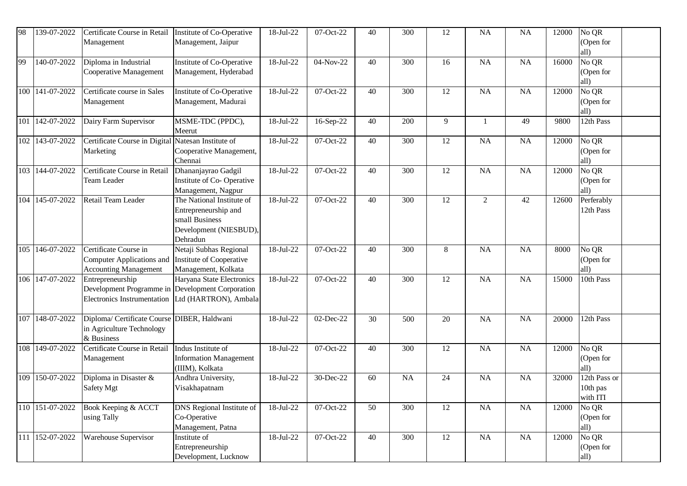| 98  | 139-07-2022     | Certificate Course in Retail<br>Management                                                                                  | Institute of Co-Operative<br>Management, Jaipur                                                           | 18-Jul-22               | 07-Oct-22     | 40 | 300       | 12 | <b>NA</b>      | <b>NA</b> | 12000 | No QR<br>(Open for<br>all)                     |  |
|-----|-----------------|-----------------------------------------------------------------------------------------------------------------------------|-----------------------------------------------------------------------------------------------------------|-------------------------|---------------|----|-----------|----|----------------|-----------|-------|------------------------------------------------|--|
| 99  | 140-07-2022     | Diploma in Industrial<br>Cooperative Management                                                                             | Institute of Co-Operative<br>Management, Hyderabad                                                        | 18-Jul-22               | 04-Nov-22     | 40 | 300       | 16 | <b>NA</b>      | NA        | 16000 | No QR<br>(Open for<br>all)                     |  |
| 100 | 141-07-2022     | Certificate course in Sales<br>Management                                                                                   | Institute of Co-Operative<br>Management, Madurai                                                          | 18-Jul-22               | 07-Oct-22     | 40 | 300       | 12 | <b>NA</b>      | <b>NA</b> | 12000 | No QR<br>(Open for<br>all)                     |  |
| 101 | 142-07-2022     | Dairy Farm Supervisor                                                                                                       | MSME-TDC (PPDC),<br>Meerut                                                                                | $\overline{18}$ -Jul-22 | 16-Sep-22     | 40 | 200       | 9  |                | 49        | 9800  | 12th Pass                                      |  |
| 102 | 143-07-2022     | Certificate Course in Digital<br>Marketing                                                                                  | Natesan Institute of<br>Cooperative Management,<br>Chennai                                                | 18-Jul-22               | 07-Oct-22     | 40 | 300       | 12 | <b>NA</b>      | NA        | 12000 | $\overline{\text{No}}$ QR<br>(Open for<br>all) |  |
| 103 | 144-07-2022     | Certificate Course in Retail<br><b>Team Leader</b>                                                                          | Dhananjayrao Gadgil<br>Institute of Co-Operative<br>Management, Nagpur                                    | 18-Jul-22               | 07-Oct-22     | 40 | 300       | 12 | <b>NA</b>      | NA        | 12000 | No QR<br>(Open for<br>all)                     |  |
| 104 | 145-07-2022     | Retail Team Leader                                                                                                          | The National Institute of<br>Entrepreneurship and<br>small Business<br>Development (NIESBUD),<br>Dehradun | 18-Jul-22               | 07-Oct-22     | 40 | 300       | 12 | $\overline{2}$ | 42        | 12600 | Perferably<br>12th Pass                        |  |
| 105 | 146-07-2022     | Certificate Course in<br>Computer Applications and<br><b>Accounting Management</b>                                          | Netaji Subhas Regional<br>Institute of Cooperative<br>Management, Kolkata                                 | 18-Jul-22               | 07-Oct-22     | 40 | 300       | 8  | <b>NA</b>      | <b>NA</b> | 8000  | No QR<br>(Open for<br>all)                     |  |
| 106 | 147-07-2022     | Entrepreneurship<br>Development Programme in Development Corporation<br>Electronics Instrumentation   Ltd (HARTRON), Ambala | Haryana State Electronics                                                                                 | 18-Jul-22               | 07-Oct-22     | 40 | 300       | 12 | <b>NA</b>      | <b>NA</b> | 15000 | 10th Pass                                      |  |
| 107 | 148-07-2022     | Diploma/ Certificate Course DIBER, Haldwani<br>in Agriculture Technology<br>& Business                                      |                                                                                                           | 18-Jul-22               | 02-Dec-22     | 30 | 500       | 20 | <b>NA</b>      | <b>NA</b> | 20000 | 12th Pass                                      |  |
| 108 | 149-07-2022     | Certificate Course in Retail<br>Management                                                                                  | Indus Institute of<br><b>Information Management</b><br>(IIIM), Kolkata                                    | 18-Jul-22               | $07-Cct-22$   | 40 | 300       | 12 | <b>NA</b>      | NA        | 12000 | No QR<br>(Open for<br>all)                     |  |
| 109 | 150-07-2022     | Diploma in Disaster &<br>Safety Mgt                                                                                         | Andhra University,<br>Visakhapatnam                                                                       | 18-Jul-22               | 30-Dec-22     | 60 | <b>NA</b> | 24 | <b>NA</b>      | <b>NA</b> | 32000 | 12th Pass or<br>10th pas<br>with ITI           |  |
|     | 110 151-07-2022 | Book Keeping & ACCT<br>using Tally                                                                                          | DNS Regional Institute of<br>Co-Operative<br>Management, Patna                                            | 18-Jul-22               | 07-Oct-22     | 50 | 300       | 12 | NA             | NA        | 12000 | No QR<br>(Open for<br>all)                     |  |
|     | 111 152-07-2022 | <b>Warehouse Supervisor</b>                                                                                                 | Institute of<br>Entrepreneurship<br>Development, Lucknow                                                  | 18-Jul-22               | $07 - Oct-22$ | 40 | 300       | 12 | NA             | NA        | 12000 | No QR<br>(Open for<br>all)                     |  |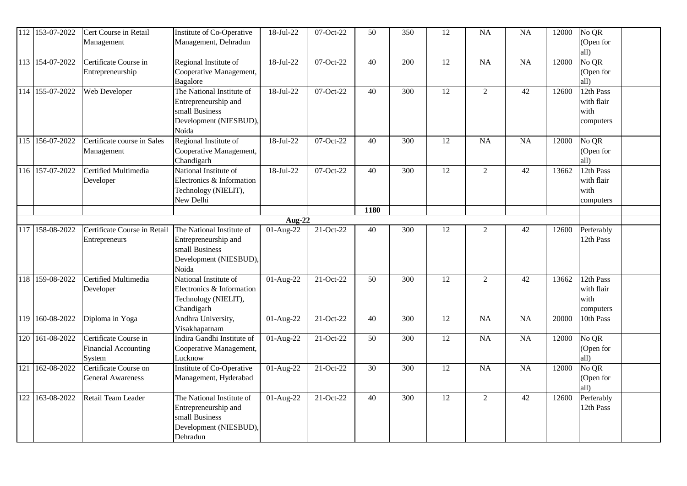| $\overline{1}12$ | 153-07-2022     | Cert Course in Retail<br>Management                     | Institute of Co-Operative<br>Management, Dehradun                                                         | 18-Jul-22                  | 07-Oct-22 | 50   | 350              | 12              | <b>NA</b>       | NA              | 12000 | $\overline{{\rm No}\, {\rm QR}}$<br>(Open for<br>all) |  |
|------------------|-----------------|---------------------------------------------------------|-----------------------------------------------------------------------------------------------------------|----------------------------|-----------|------|------------------|-----------------|-----------------|-----------------|-------|-------------------------------------------------------|--|
|                  | 113 154-07-2022 | Certificate Course in<br>Entrepreneurship               | Regional Institute of<br>Cooperative Management,<br>Bagalore                                              | $18-Jul-22$                | 07-Oct-22 | 40   | 200              | $\overline{12}$ | $\overline{NA}$ | $\overline{NA}$ | 12000 | No QR<br>(Open for<br>all)                            |  |
|                  | 114 155-07-2022 | Web Developer                                           | The National Institute of<br>Entrepreneurship and<br>small Business<br>Development (NIESBUD),<br>Noida    | 18-Jul-22                  | 07-Oct-22 | 40   | 300              | 12              | $\overline{2}$  | 42              | 12600 | 12th Pass<br>with flair<br>with<br>computers          |  |
| 115              | 156-07-2022     | Certificate course in Sales<br>Management               | Regional Institute of<br>Cooperative Management,<br>Chandigarh                                            | 18-Jul-22                  | 07-Oct-22 | 40   | 300              | 12              | <b>NA</b>       | NA              | 12000 | $\overline{{N}_0$ QR<br>(Open for<br>all)             |  |
|                  | 116 157-07-2022 | Certified Multimedia<br>Developer                       | National Institute of<br>Electronics & Information<br>Technology (NIELIT),<br>New Delhi                   | $18-Jul-22$                | 07-Oct-22 | 40   | 300              | 12              | $\overline{2}$  | 42              | 13662 | 12th Pass<br>with flair<br>with<br>computers          |  |
|                  |                 |                                                         |                                                                                                           |                            |           | 1180 |                  |                 |                 |                 |       |                                                       |  |
| 117              | 158-08-2022     | Certificate Course in Retail                            | The National Institute of                                                                                 | <b>Aug-22</b><br>01-Aug-22 | 21-Oct-22 | 40   | 300              | 12              | $\overline{2}$  | 42              | 12600 | Perferably                                            |  |
|                  |                 | Entrepreneurs                                           | Entrepreneurship and<br>small Business<br>Development (NIESBUD),<br>Noida                                 |                            |           |      |                  |                 |                 |                 |       | 12th Pass                                             |  |
|                  | 118 159-08-2022 | Certified Multimedia<br>Developer                       | National Institute of<br>Electronics & Information<br>Technology (NIELIT),<br>Chandigarh                  | 01-Aug-22                  | 21-Oct-22 | 50   | 300              | 12              | $\overline{2}$  | 42              | 13662 | 12th Pass<br>with flair<br>with<br>computers          |  |
| 119              | 160-08-2022     | Diploma in Yoga                                         | Andhra University,<br>Visakhapatnam                                                                       | 01-Aug-22                  | 21-Oct-22 | 40   | 300              | 12              | <b>NA</b>       | NA              | 20000 | 10th Pass                                             |  |
| 120              | 161-08-2022     | Certificate Course in<br>Financial Accounting<br>System | Indira Gandhi Institute of<br>Cooperative Management,<br>Lucknow                                          | $01-Aug-22$                | 21-Oct-22 | 50   | $\overline{300}$ | $\overline{12}$ | $\overline{NA}$ | $\overline{NA}$ | 12000 | No QR<br>(Open for<br>all)                            |  |
| 121              | 162-08-2022     | Certificate Course on<br><b>General Awareness</b>       | Institute of Co-Operative<br>Management, Hyderabad                                                        | 01-Aug-22                  | 21-Oct-22 | 30   | 300              | 12              | NA              | NA              | 12000 | No QR<br>(Open for<br>all)                            |  |
| 122              | 163-08-2022     | Retail Team Leader                                      | The National Institute of<br>Entrepreneurship and<br>small Business<br>Development (NIESBUD),<br>Dehradun | $01-Aug-22$                | 21-Oct-22 | 40   | 300              | $\overline{12}$ | $\overline{2}$  | 42              | 12600 | Perferably<br>12th Pass                               |  |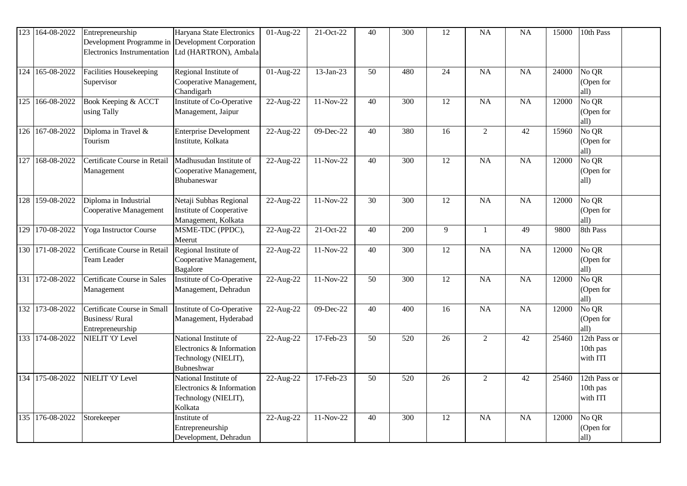| 123 | 164-08-2022     | Entrepreneurship<br>Development Programme in Development Corporation<br><b>Electronics Instrumentation</b> | Haryana State Electronics<br>Ltd (HARTRON), Ambala                                              | 01-Aug-22               | 21-Oct-22   | 40 | 300 | 12              | <b>NA</b>      | NA              | 15000 | 10th Pass                                      |
|-----|-----------------|------------------------------------------------------------------------------------------------------------|-------------------------------------------------------------------------------------------------|-------------------------|-------------|----|-----|-----------------|----------------|-----------------|-------|------------------------------------------------|
| 124 | 165-08-2022     | Facilities Housekeeping<br>Supervisor                                                                      | Regional Institute of<br>Cooperative Management,<br>Chandigarh                                  | 01-Aug-22               | 13-Jan-23   | 50 | 480 | 24              | <b>NA</b>      | NA              | 24000 | No QR<br>(Open for<br>all)                     |
| 125 | 166-08-2022     | Book Keeping & ACCT<br>using Tally                                                                         | Institute of Co-Operative<br>Management, Jaipur                                                 | 22-Aug-22               | 11-Nov-22   | 40 | 300 | 12              | <b>NA</b>      | NA              | 12000 | No QR<br>(Open for<br>all)                     |
|     | 126 167-08-2022 | Diploma in Travel &<br>Tourism                                                                             | <b>Enterprise Development</b><br>Institute, Kolkata                                             | 22-Aug-22               | 09-Dec-22   | 40 | 380 | $\overline{16}$ | $\overline{2}$ | $\overline{42}$ | 15960 | No QR<br>(Open for<br>all)                     |
| 127 | 168-08-2022     | Certificate Course in Retail<br>Management                                                                 | Madhusudan Institute of<br>Cooperative Management,<br>Bhubaneswar                               | 22-Aug-22               | $11-Nov-22$ | 40 | 300 | $\overline{12}$ | NA             | $\overline{NA}$ | 12000 | No QR<br>(Open for<br>all)                     |
| 128 | 159-08-2022     | Diploma in Industrial<br>Cooperative Management                                                            | Netaji Subhas Regional<br>Institute of Cooperative<br>Management, Kolkata                       | 22-Aug-22               | 11-Nov-22   | 30 | 300 | 12              | <b>NA</b>      | NA              | 12000 | No QR<br>(Open for<br>all)                     |
| 129 | 170-08-2022     | Yoga Instructor Course                                                                                     | MSME-TDC (PPDC),<br>Meerut                                                                      | $\overline{22}$ -Aug-22 | 21-Oct-22   | 40 | 200 | 9               | $\mathbf{1}$   | 49              | 9800  | 8th Pass                                       |
| 130 | 171-08-2022     | Certificate Course in Retail<br>Team Leader                                                                | Regional Institute of<br>Cooperative Management,<br><b>Bagalore</b>                             | 22-Aug-22               | 11-Nov-22   | 40 | 300 | 12              | <b>NA</b>      | NA              | 12000 | $\overline{\text{No}}$ QR<br>(Open for<br>all) |
| 131 | 172-08-2022     | Certificate Course in Sales<br>Management                                                                  | Institute of Co-Operative<br>Management, Dehradun                                               | 22-Aug-22               | 11-Nov-22   | 50 | 300 | 12              | <b>NA</b>      | NA              | 12000 | No QR<br>(Open for<br>all)                     |
|     | 132 173-08-2022 | Certificate Course in Small<br><b>Business/Rural</b><br>Entrepreneurship                                   | Institute of Co-Operative<br>Management, Hyderabad                                              | 22-Aug-22               | 09-Dec-22   | 40 | 400 | 16              | NA             | $\overline{NA}$ | 12000 | No QR<br>(Open for<br>all)                     |
|     | 133 174-08-2022 | NIELIT 'O' Level                                                                                           | National Institute of<br>Electronics & Information<br>Technology (NIELIT),<br><b>Bubneshwar</b> | 22-Aug-22               | 17-Feb-23   | 50 | 520 | 26              | $\overline{2}$ | 42              | 25460 | 12th Pass or<br>10th pas<br>with ITI           |
| 134 | 175-08-2022     | NIELIT 'O' Level                                                                                           | National Institute of<br>Electronics & Information<br>Technology (NIELIT),<br>Kolkata           | 22-Aug-22               | 17-Feb-23   | 50 | 520 | 26              | $\overline{2}$ | 42              | 25460 | 12th Pass or<br>10th pas<br>with ITI           |
| 135 | 176-08-2022     | Storekeeper                                                                                                | Institute of<br>Entrepreneurship<br>Development, Dehradun                                       | 22-Aug-22               | 11-Nov-22   | 40 | 300 | 12              | <b>NA</b>      | NA              | 12000 | $\overline{\text{No}}$ QR<br>(Open for<br>all) |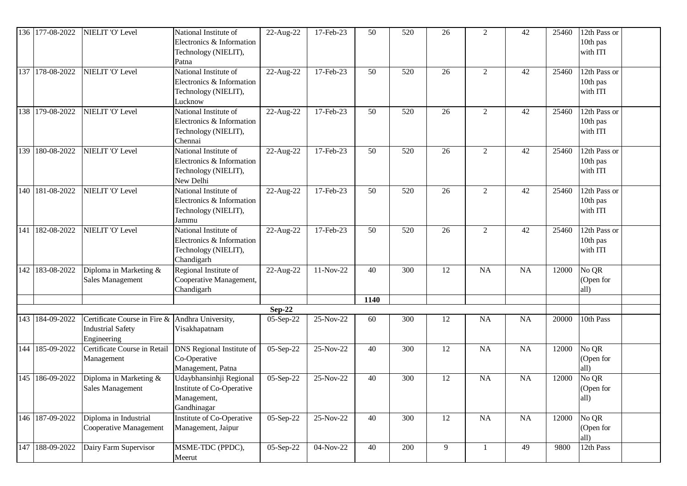|     | 136 177-08-2022 | NIELIT 'O' Level                                                        | National Institute of<br>Electronics & Information<br>Technology (NIELIT),<br>Patna      | 22-Aug-22 | 17-Feb-23   | 50   | 520 | 26 | $\overline{2}$ | 42        | 25460 | 12th Pass or<br>10th pas<br>with ITI |
|-----|-----------------|-------------------------------------------------------------------------|------------------------------------------------------------------------------------------|-----------|-------------|------|-----|----|----------------|-----------|-------|--------------------------------------|
|     | 137 178-08-2022 | NIELIT 'O' Level                                                        | National Institute of<br>Electronics & Information<br>Technology (NIELIT),<br>Lucknow    | 22-Aug-22 | 17-Feb-23   | 50   | 520 | 26 | $\overline{2}$ | 42        | 25460 | 12th Pass or<br>10th pas<br>with ITI |
|     | 138 179-08-2022 | NIELIT 'O' Level                                                        | National Institute of<br>Electronics & Information<br>Technology (NIELIT),<br>Chennai    | 22-Aug-22 | 17-Feb-23   | 50   | 520 | 26 | $\overline{2}$ | 42        | 25460 | 12th Pass or<br>10th pas<br>with ITI |
| 139 | 180-08-2022     | NIELIT 'O' Level                                                        | National Institute of<br>Electronics & Information<br>Technology (NIELIT),<br>New Delhi  | 22-Aug-22 | 17-Feb-23   | 50   | 520 | 26 | $\overline{2}$ | 42        | 25460 | 12th Pass or<br>10th pas<br>with ITI |
|     | 140 181-08-2022 | NIELIT 'O' Level                                                        | National Institute of<br>Electronics & Information<br>Technology (NIELIT),<br>Jammu      | 22-Aug-22 | 17-Feb-23   | 50   | 520 | 26 | $\overline{2}$ | 42        | 25460 | 12th Pass or<br>10th pas<br>with ITI |
| 141 | 182-08-2022     | NIELIT 'O' Level                                                        | National Institute of<br>Electronics & Information<br>Technology (NIELIT),<br>Chandigarh | 22-Aug-22 | 17-Feb-23   | 50   | 520 | 26 | $\overline{2}$ | 42        | 25460 | 12th Pass or<br>10th pas<br>with ITI |
|     | 142 183-08-2022 | Diploma in Marketing &<br><b>Sales Management</b>                       | Regional Institute of<br>Cooperative Management,<br>Chandigarh                           | 22-Aug-22 | 11-Nov-22   | 40   | 300 | 12 | NA             | <b>NA</b> | 12000 | No QR<br>(Open for<br>all)           |
|     |                 |                                                                         |                                                                                          |           |             | 1140 |     |    |                |           |       |                                      |
|     |                 |                                                                         |                                                                                          | $Sep-22$  |             |      |     |    |                |           |       |                                      |
|     | 143 184-09-2022 | Certificate Course in Fire &<br><b>Industrial Safety</b><br>Engineering | Andhra University,<br>Visakhapatnam                                                      | 05-Sep-22 | 25-Nov-22   | 60   | 300 | 12 | <b>NA</b>      | <b>NA</b> | 20000 | 10th Pass                            |
| 144 | 185-09-2022     | Certificate Course in Retail<br>Management                              | <b>DNS</b> Regional Institute of<br>Co-Operative<br>Management, Patna                    | 05-Sep-22 | 25-Nov-22   | 40   | 300 | 12 | NA             | NA        | 12000 | No QR<br>(Open for<br>all)           |
|     | 145 186-09-2022 | Diploma in Marketing &<br>Sales Management                              | Udaybhansinhji Regional<br>Institute of Co-Operative<br>Management,<br>Gandhinagar       | 05-Sep-22 | 25-Nov-22   | 40   | 300 | 12 | NA             | NA        | 12000 | No QR<br>(Open for<br>all)           |
|     | 146 187-09-2022 | Diploma in Industrial<br>Cooperative Management                         | Institute of Co-Operative<br>Management, Jaipur                                          | 05-Sep-22 | 25-Nov-22   | 40   | 300 | 12 | <b>NA</b>      | NA        | 12000 | No QR<br>(Open for<br>all)           |
| 147 | 188-09-2022     | Dairy Farm Supervisor                                                   | MSME-TDC (PPDC),<br>Meerut                                                               | 05-Sep-22 | $04-Nov-22$ | 40   | 200 | 9  |                | 49        | 9800  | 12th Pass                            |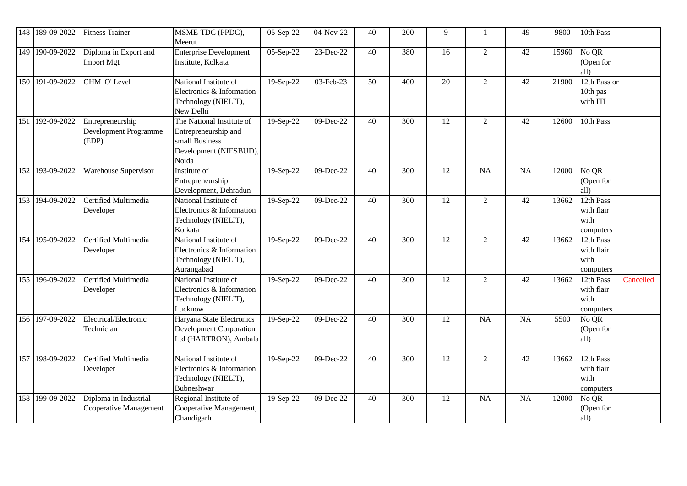| 148 | 189-09-2022     | <b>Fitness Trainer</b>                             | MSME-TDC (PPDC),<br>Meerut                                                                             | 05-Sep-22 | 04-Nov-22     | 40              | 200              | 9               | -1             | 49              | 9800  | 10th Pass                                    |           |
|-----|-----------------|----------------------------------------------------|--------------------------------------------------------------------------------------------------------|-----------|---------------|-----------------|------------------|-----------------|----------------|-----------------|-------|----------------------------------------------|-----------|
|     | 149 190-09-2022 | Diploma in Export and<br><b>Import Mgt</b>         | <b>Enterprise Development</b><br>Institute, Kolkata                                                    | 05-Sep-22 | 23-Dec-22     | $\overline{40}$ | 380              | $\overline{16}$ | $\overline{2}$ | $\overline{42}$ | 15960 | No QR<br>(Open for<br>all)                   |           |
|     | 150 191-09-2022 | CHM 'O' Level                                      | National Institute of<br>Electronics & Information<br>Technology (NIELIT),<br>New Delhi                | 19-Sep-22 | 03-Feb-23     | 50              | 400              | 20              | $\overline{2}$ | 42              | 21900 | 12th Pass or<br>10th pas<br>with ITI         |           |
|     | 151 192-09-2022 | Entrepreneurship<br>Development Programme<br>(EDP) | The National Institute of<br>Entrepreneurship and<br>small Business<br>Development (NIESBUD),<br>Noida | 19-Sep-22 | $09 - Dec-22$ | 40              | 300              | 12              | $\overline{2}$ | 42              | 12600 | 10th Pass                                    |           |
|     | 152 193-09-2022 | Warehouse Supervisor                               | Institute of<br>Entrepreneurship<br>Development, Dehradun                                              | 19-Sep-22 | 09-Dec-22     | 40              | 300              | 12              | NA             | <b>NA</b>       | 12000 | No QR<br>(Open for<br>all)                   |           |
|     | 153 194-09-2022 | Certified Multimedia<br>Developer                  | National Institute of<br>Electronics & Information<br>Technology (NIELIT),<br>Kolkata                  | 19-Sep-22 | 09-Dec-22     | 40              | 300              | 12              | $\overline{2}$ | 42              | 13662 | 12th Pass<br>with flair<br>with<br>computers |           |
|     | 154 195-09-2022 | Certified Multimedia<br>Developer                  | National Institute of<br>Electronics & Information<br>Technology (NIELIT),<br>Aurangabad               | 19-Sep-22 | 09-Dec-22     | 40              | 300              | 12              | $\overline{2}$ | 42              | 13662 | 12th Pass<br>with flair<br>with<br>computers |           |
|     | 155 196-09-2022 | Certified Multimedia<br>Developer                  | National Institute of<br>Electronics & Information<br>Technology (NIELIT),<br>Lucknow                  | 19-Sep-22 | 09-Dec-22     | 40              | $\overline{300}$ | 12              | $\overline{2}$ | 42              | 13662 | 12th Pass<br>with flair<br>with<br>computers | Cancelled |
|     | 156 197-09-2022 | Electrical/Electronic<br>Technician                | Haryana State Electronics<br><b>Development Corporation</b><br>Ltd (HARTRON), Ambala                   | 19-Sep-22 | 09-Dec-22     | 40              | 300              | 12              | NA             | NA              | 5500  | No QR<br>(Open for<br>all)                   |           |
|     | 157 198-09-2022 | Certified Multimedia<br>Developer                  | National Institute of<br>Electronics & Information<br>Technology (NIELIT),<br>Bubneshwar               | 19-Sep-22 | $09-Dec-22$   | $\overline{40}$ | $\overline{300}$ | $\overline{12}$ | $\overline{2}$ | $\overline{42}$ | 13662 | 12th Pass<br>with flair<br>with<br>computers |           |
|     | 158 199-09-2022 | Diploma in Industrial<br>Cooperative Management    | Regional Institute of<br>Cooperative Management,<br>Chandigarh                                         | 19-Sep-22 | 09-Dec-22     | 40              | 300              | 12              | <b>NA</b>      | <b>NA</b>       | 12000 | No QR<br>(Open for<br>all)                   |           |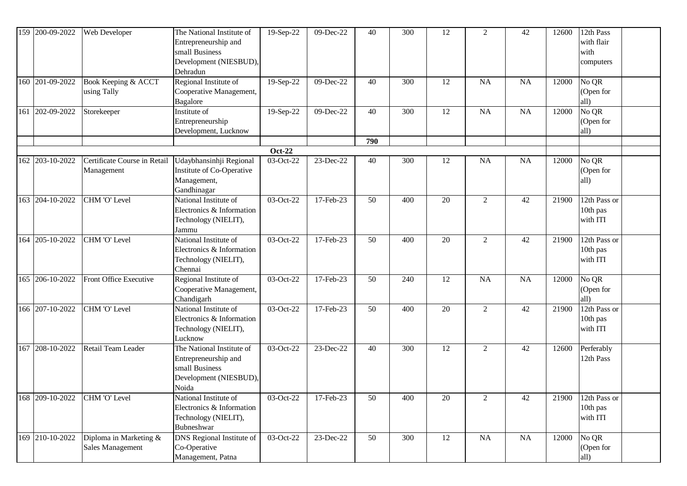|     | 159 200-09-2022 | Web Developer                              | The National Institute of<br>Entrepreneurship and<br>small Business<br>Development (NIESBUD),<br>Dehradun | 19-Sep-22                  | 09-Dec-22 | 40  | 300 | 12     | $\overline{2}$ | 42        | 12600 | 12th Pass<br>with flair<br>with<br>computers  |
|-----|-----------------|--------------------------------------------|-----------------------------------------------------------------------------------------------------------|----------------------------|-----------|-----|-----|--------|----------------|-----------|-------|-----------------------------------------------|
|     | 160 201-09-2022 | Book Keeping & ACCT<br>using Tally         | Regional Institute of<br>Cooperative Management,<br>Bagalore                                              | 19-Sep-22                  | 09-Dec-22 | 40  | 300 | 12     | <b>NA</b>      | NA        | 12000 | No QR<br>(Open for<br>all)                    |
| 161 | 202-09-2022     | Storekeeper                                | Institute of<br>Entrepreneurship<br>Development, Lucknow                                                  | 19-Sep-22                  | 09-Dec-22 | 40  | 300 | 12     | <b>NA</b>      | NA        | 12000 | No QR<br>(Open for<br>all)                    |
|     |                 |                                            |                                                                                                           |                            |           | 790 |     |        |                |           |       |                                               |
|     | 162 203-10-2022 | Certificate Course in Retail<br>Management | Udaybhansinhji Regional<br>Institute of Co-Operative<br>Management,<br>Gandhinagar                        | <b>Oct-22</b><br>03-Oct-22 | 23-Dec-22 | 40  | 300 | 12     | NA             | <b>NA</b> | 12000 | No QR<br>(Open for<br>all)                    |
|     | 163 204-10-2022 | CHM 'O' Level                              | National Institute of<br>Electronics & Information<br>Technology (NIELIT),<br>Jammu                       | 03-Oct-22                  | 17-Feb-23 | 50  | 400 | 20     | $\overline{2}$ | 42        | 21900 | 12th Pass or<br>10th pas<br>with ITI          |
|     | 164 205-10-2022 | CHM 'O' Level                              | National Institute of<br>Electronics & Information<br>Technology (NIELIT),<br>Chennai                     | $03-Oct-22$                | 17-Feb-23 | 50  | 400 | 20     | $\overline{2}$ | 42        | 21900 | 12th Pass or<br>10th pas<br>with ITI          |
|     | 165 206-10-2022 | Front Office Executive                     | Regional Institute of<br>Cooperative Management,<br>Chandigarh                                            | $\overline{03-Oct-22}$     | 17-Feb-23 | 50  | 240 | 12     | <b>NA</b>      | <b>NA</b> | 12000 | $\overline{{\rm No}}$ QR<br>(Open for<br>all) |
|     | 166 207-10-2022 | CHM 'O' Level                              | National Institute of<br>Electronics & Information<br>Technology (NIELIT),<br>Lucknow                     | 03-Oct-22                  | 17-Feb-23 | 50  | 400 | 20     | $\overline{2}$ | 42        | 21900 | 12th Pass or<br>10th pas<br>with ITI          |
| 167 | 208-10-2022     | Retail Team Leader                         | The National Institute of<br>Entrepreneurship and<br>small Business<br>Development (NIESBUD),<br>Noida    | 03-Oct-22                  | 23-Dec-22 | 40  | 300 | 12     | 2              | 42        | 12600 | Perferably<br>12th Pass                       |
|     | 168 209-10-2022 | CHM 'O' Level                              | National Institute of<br>Electronics & Information<br>Technology (NIELIT),<br>Bubneshwar                  | 03-Oct-22                  | 17-Feb-23 | 50  | 400 | 20     | 2              | 42        | 21900 | 12th Pass or<br>10th pas<br>with ITI          |
|     | 169 210-10-2022 | Diploma in Marketing &<br>Sales Management | DNS Regional Institute of<br>Co-Operative<br>Management, Patna                                            | 03-Oct-22                  | 23-Dec-22 | 50  | 300 | $12\,$ | NA             | NA        | 12000 | No QR<br>(Open for<br>all)                    |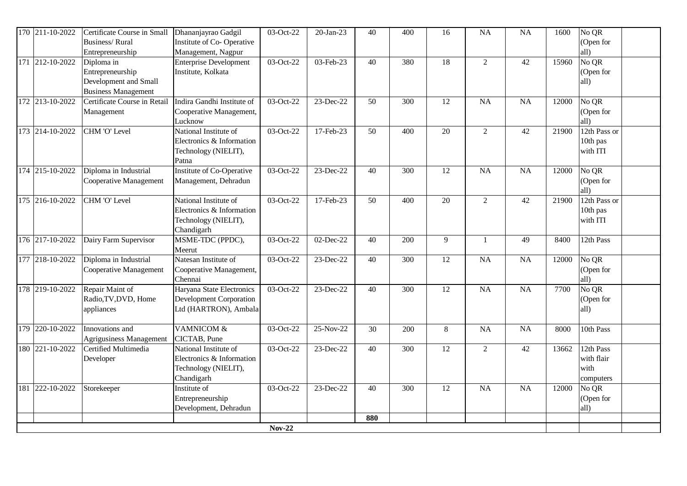| $\overline{170}$ 211-10-2022 | Certificate Course in Small<br><b>Business/Rural</b><br>Entrepreneurship              | Dhananjayrao Gadgil<br>Institute of Co-Operative<br>Management, Nagpur                   | 03-Oct-22     | 20-Jan-23 | 40              | 400              | 16              | <b>NA</b>      | NA              | 1600  | No QR<br>(Open for<br>all)                   |
|------------------------------|---------------------------------------------------------------------------------------|------------------------------------------------------------------------------------------|---------------|-----------|-----------------|------------------|-----------------|----------------|-----------------|-------|----------------------------------------------|
| 171 212-10-2022              | Diploma in<br>Entrepreneurship<br>Development and Small<br><b>Business Management</b> | <b>Enterprise Development</b><br>Institute, Kolkata                                      | 03-Oct-22     | 03-Feb-23 | 40              | 380              | $\overline{18}$ | $\overline{2}$ | $\overline{42}$ | 15960 | No QR<br>(Open for<br>all)                   |
| 172 213-10-2022              | Certificate Course in Retail<br>Management                                            | Indira Gandhi Institute of<br>Cooperative Management,<br>Lucknow                         | 03-Oct-22     | 23-Dec-22 | 50              | 300              | 12              | <b>NA</b>      | NA              | 12000 | No QR<br>(Open for<br>all)                   |
| 173 214-10-2022              | CHM 'O' Level                                                                         | National Institute of<br>Electronics & Information<br>Technology (NIELIT),<br>Patna      | 03-Oct-22     | 17-Feb-23 | $\overline{50}$ | $\overline{400}$ | $\overline{20}$ | $\overline{2}$ | $\overline{42}$ | 21900 | 12th Pass or<br>10th pas<br>with ITI         |
| 174 215-10-2022              | Diploma in Industrial<br>Cooperative Management                                       | Institute of Co-Operative<br>Management, Dehradun                                        | 03-Oct-22     | 23-Dec-22 | 40              | 300              | 12              | <b>NA</b>      | NA              | 12000 | No QR<br>(Open for<br>all)                   |
| 175 216-10-2022              | CHM 'O' Level                                                                         | National Institute of<br>Electronics & Information<br>Technology (NIELIT),<br>Chandigarh | 03-Oct-22     | 17-Feb-23 | 50              | 400              | 20              | $\overline{2}$ | 42              | 21900 | 12th Pass or<br>10th pas<br>with ITI         |
| 176 217-10-2022              | Dairy Farm Supervisor                                                                 | MSME-TDC (PPDC),<br>Meerut                                                               | 03-Oct-22     | 02-Dec-22 | 40              | 200              | 9               | 1              | 49              | 8400  | 12th Pass                                    |
| 177 218-10-2022              | Diploma in Industrial<br>Cooperative Management                                       | Natesan Institute of<br>Cooperative Management,<br>Chennai                               | 03-Oct-22     | 23-Dec-22 | 40              | 300              | 12              | <b>NA</b>      | NA              | 12000 | No QR<br>(Open for<br>all)                   |
| 178 219-10-2022              | Repair Maint of<br>Radio, TV, DVD, Home<br>appliances                                 | Haryana State Electronics<br><b>Development Corporation</b><br>Ltd (HARTRON), Ambala     | 03-Oct-22     | 23-Dec-22 | 40              | 300              | 12              | <b>NA</b>      | NA              | 7700  | No QR<br>(Open for<br>all)                   |
| 179 220-10-2022              | Innovations and<br>Agrigusiness Management                                            | <b>VAMNICOM &amp;</b><br>CICTAB, Pune                                                    | 03-Oct-22     | 25-Nov-22 | 30              | 200              | 8               | NA             | NA              | 8000  | 10th Pass                                    |
| 180 221-10-2022              | Certified Multimedia<br>Developer                                                     | National Institute of<br>Electronics & Information<br>Technology (NIELIT),<br>Chandigarh | 03-Oct-22     | 23-Dec-22 | 40              | 300              | 12              | $\overline{2}$ | 42              | 13662 | 12th Pass<br>with flair<br>with<br>computers |
| 181 222-10-2022              | Storekeeper                                                                           | Institute of<br>Entrepreneurship<br>Development, Dehradun                                | 03-Oct-22     | 23-Dec-22 | 40              | 300              | 12              | <b>NA</b>      | NA              | 12000 | No QR<br>(Open for<br>all)                   |
|                              |                                                                                       |                                                                                          | <b>Nov-22</b> |           | 880             |                  |                 |                |                 |       |                                              |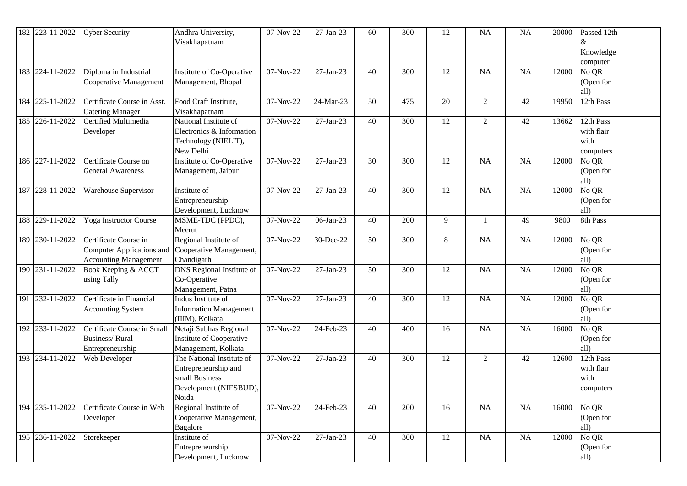| 182 223-11-2022 | <b>Cyber Security</b>                                                              | Andhra University,<br>Visakhapatnam                                                                    | 07-Nov-22   | 27-Jan-23    | 60 | 300 | 12 | NA             | <b>NA</b> | 20000 | Passed 12th<br>Knowledge                     |
|-----------------|------------------------------------------------------------------------------------|--------------------------------------------------------------------------------------------------------|-------------|--------------|----|-----|----|----------------|-----------|-------|----------------------------------------------|
|                 |                                                                                    |                                                                                                        |             |              |    |     |    |                |           |       | computer                                     |
| 183 224-11-2022 | Diploma in Industrial<br>Cooperative Management                                    | Institute of Co-Operative<br>Management, Bhopal                                                        | 07-Nov-22   | 27-Jan-23    | 40 | 300 | 12 | NA             | NA        | 12000 | No QR<br>(Open for<br>all)                   |
| 184 225-11-2022 | Certificate Course in Asst.<br><b>Catering Manager</b>                             | Food Craft Institute,<br>Visakhapatnam                                                                 | 07-Nov-22   | 24-Mar-23    | 50 | 475 | 20 | $\overline{2}$ | 42        | 19950 | 12th Pass                                    |
| 185 226-11-2022 | <b>Certified Multimedia</b><br>Developer                                           | National Institute of<br>Electronics & Information<br>Technology (NIELIT),<br>New Delhi                | 07-Nov-22   | $27-Jan-23$  | 40 | 300 | 12 | $\overline{2}$ | 42        | 13662 | 12th Pass<br>with flair<br>with<br>computers |
| 186 227-11-2022 | Certificate Course on<br><b>General Awareness</b>                                  | Institute of Co-Operative<br>Management, Jaipur                                                        | 07-Nov-22   | 27-Jan-23    | 30 | 300 | 12 | NA             | NA        | 12000 | No QR<br>(Open for<br>all)                   |
| 187 228-11-2022 | Warehouse Supervisor                                                               | Institute of<br>Entrepreneurship<br>Development, Lucknow                                               | 07-Nov-22   | $27-Jan-23$  | 40 | 300 | 12 | NA             | NA        | 12000 | No QR<br>(Open for<br>all)                   |
| 188 229-11-2022 | Yoga Instructor Course                                                             | MSME-TDC (PPDC),<br>Meerut                                                                             | 07-Nov-22   | 06-Jan-23    | 40 | 200 | 9  |                | 49        | 9800  | 8th Pass                                     |
| 189 230-11-2022 | Certificate Course in<br>Computer Applications and<br><b>Accounting Management</b> | Regional Institute of<br>Cooperative Management,<br>Chandigarh                                         | 07-Nov-22   | 30-Dec-22    | 50 | 300 | 8  | NA             | NA        | 12000 | No QR<br>(Open for<br>all)                   |
| 190 231-11-2022 | Book Keeping & ACCT<br>using Tally                                                 | DNS Regional Institute of<br>Co-Operative<br>Management, Patna                                         | 07-Nov-22   | 27-Jan-23    | 50 | 300 | 12 | NA             | NA        | 12000 | No QR<br>(Open for<br>all)                   |
| 191 232-11-2022 | Certificate in Financial<br><b>Accounting System</b>                               | Indus Institute of<br><b>Information Management</b><br>(IIIM), Kolkata                                 | 07-Nov-22   | $27-Jan-23$  | 40 | 300 | 12 | <b>NA</b>      | NA        | 12000 | No QR<br>(Open for<br>all)                   |
| 192 233-11-2022 | Certificate Course in Small<br><b>Business/Rural</b><br>Entrepreneurship           | Netaji Subhas Regional<br>Institute of Cooperative<br>Management, Kolkata                              | 07-Nov-22   | 24-Feb-23    | 40 | 400 | 16 | <b>NA</b>      | <b>NA</b> | 16000 | No QR<br>(Open for<br>all)                   |
| 193 234-11-2022 | Web Developer                                                                      | The National Institute of<br>Entrepreneurship and<br>small Business<br>Development (NIESBUD),<br>Noida | 07-Nov-22   | 27-Jan-23    | 40 | 300 | 12 | $\overline{2}$ | 42        | 12600 | 12th Pass<br>with flair<br>with<br>computers |
| 194 235-11-2022 | Certificate Course in Web<br>Developer                                             | Regional Institute of<br>Cooperative Management,<br>Bagalore                                           | $07-Nov-22$ | 24-Feb-23    | 40 | 200 | 16 | NA             | NA        | 16000 | No QR<br>(Open for<br>all)                   |
| 195 236-11-2022 | Storekeeper                                                                        | Institute of<br>Entrepreneurship<br>Development, Lucknow                                               | 07-Nov-22   | $27$ -Jan-23 | 40 | 300 | 12 | NA             | NA        | 12000 | No QR<br>(Open for<br>all)                   |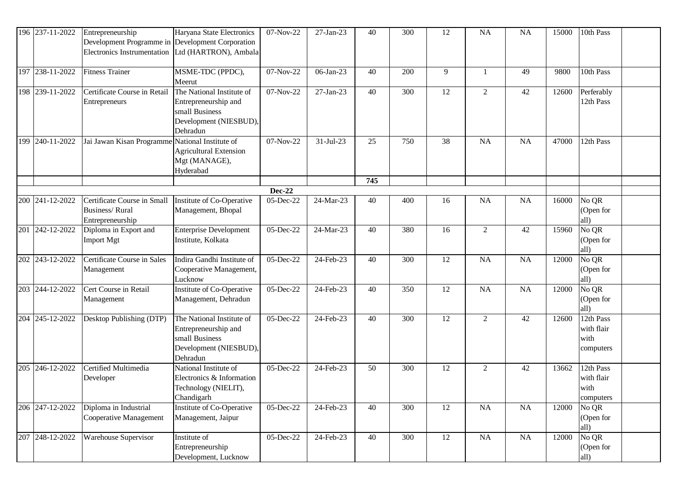|     | 196 237-11-2022 | Entrepreneurship<br>Development Programme in Development Corporation<br>Electronics Instrumentation   Ltd (HARTRON), Ambala | Haryana State Electronics                                                                                 | 07-Nov-22     | 27-Jan-23       | 40  | 300              | 12              | <b>NA</b>      | <b>NA</b>       | 15000        | 10th Pass                                      |  |
|-----|-----------------|-----------------------------------------------------------------------------------------------------------------------------|-----------------------------------------------------------------------------------------------------------|---------------|-----------------|-----|------------------|-----------------|----------------|-----------------|--------------|------------------------------------------------|--|
|     |                 |                                                                                                                             |                                                                                                           |               |                 |     |                  |                 |                |                 |              |                                                |  |
|     | 197 238-11-2022 | <b>Fitness Trainer</b>                                                                                                      | MSME-TDC (PPDC),<br>Meerut                                                                                | 07-Nov-22     | 06-Jan-23       | 40  | 200              | 9               | -1             | 49              | 9800         | 10th Pass                                      |  |
|     | 198 239-11-2022 | Certificate Course in Retail<br>Entrepreneurs                                                                               | The National Institute of<br>Entrepreneurship and<br>small Business<br>Development (NIESBUD),<br>Dehradun | 07-Nov-22     | 27-Jan-23       | 40  | 300              | 12              | $\overline{2}$ | 42              | 12600        | Perferably<br>12th Pass                        |  |
| 199 | 240-11-2022     | Jai Jawan Kisan Programme National Institute of                                                                             | Agricultural Extension<br>Mgt (MANAGE),<br>Hyderabad                                                      | 07-Nov-22     | $31 - Jul - 23$ | 25  | 750              | 38              | <b>NA</b>      | NA              | 47000        | 12th Pass                                      |  |
|     |                 |                                                                                                                             |                                                                                                           |               |                 | 745 |                  |                 |                |                 |              |                                                |  |
|     |                 |                                                                                                                             |                                                                                                           | <b>Dec-22</b> |                 |     |                  |                 |                |                 |              |                                                |  |
| 200 | 241-12-2022     | Certificate Course in Small<br><b>Business/Rural</b><br>Entrepreneurship                                                    | Institute of Co-Operative<br>Management, Bhopal                                                           | 05-Dec-22     | 24-Mar-23       | 40  | 400              | 16              | <b>NA</b>      | NA              | 16000        | $\overline{\text{No}}$ QR<br>(Open for<br>all) |  |
|     | 201 242-12-2022 | Diploma in Export and<br>Import Mgt                                                                                         | <b>Enterprise Development</b><br>Institute, Kolkata                                                       | 05-Dec-22     | 24-Mar-23       | 40  | 380              | 16              | $\overline{2}$ | 42              | 15960        | No QR<br>(Open for<br>all)                     |  |
|     | 202 243-12-2022 | <b>Certificate Course in Sales</b><br>Management                                                                            | Indira Gandhi Institute of<br>Cooperative Management,<br>Lucknow                                          | 05-Dec-22     | 24-Feb-23       | 40  | 300              | 12              | <b>NA</b>      | NA              | 12000        | No QR<br>(Open for<br>all)                     |  |
|     | 203 244-12-2022 | Cert Course in Retail<br>Management                                                                                         | Institute of Co-Operative<br>Management, Dehradun                                                         | 05-Dec-22     | 24-Feb-23       | 40  | 350              | 12              | <b>NA</b>      | NA              | 12000        | $\overline{\text{No QR}}$<br>(Open for<br>all) |  |
|     | 204 245-12-2022 | Desktop Publishing (DTP)                                                                                                    | The National Institute of<br>Entrepreneurship and<br>small Business<br>Development (NIESBUD),<br>Dehradun | 05-Dec-22     | 24-Feb-23       | 40  | 300              | 12              | $\overline{2}$ | 42              | 12600        | 12th Pass<br>with flair<br>with<br>computers   |  |
| 205 | 246-12-2022     | Certified Multimedia<br>Developer                                                                                           | National Institute of<br>Electronics & Information<br>Technology (NIELIT),<br>Chandigarh                  | 05-Dec-22     | 24-Feb-23       | 50  | 300              | 12              | $\overline{2}$ | 42              | 13662        | 12th Pass<br>with flair<br>with<br>computers   |  |
|     | 206 247-12-2022 | Diploma in Industrial<br>Cooperative Management                                                                             | Institute of Co-Operative<br>Management, Jaipur                                                           | 05-Dec-22     | $24$ -Feb-23    | 40  | $\overline{300}$ | $\overline{12}$ | NA             | $\overline{NA}$ | <b>12000</b> | No QR<br>(Open for<br>all)                     |  |
|     | 207 248-12-2022 | Warehouse Supervisor                                                                                                        | Institute of<br>Entrepreneurship<br>Development, Lucknow                                                  | 05-Dec-22     | 24-Feb-23       | 40  | 300              | 12              | NA             | NA              | 12000        | No QR<br>(Open for<br>all)                     |  |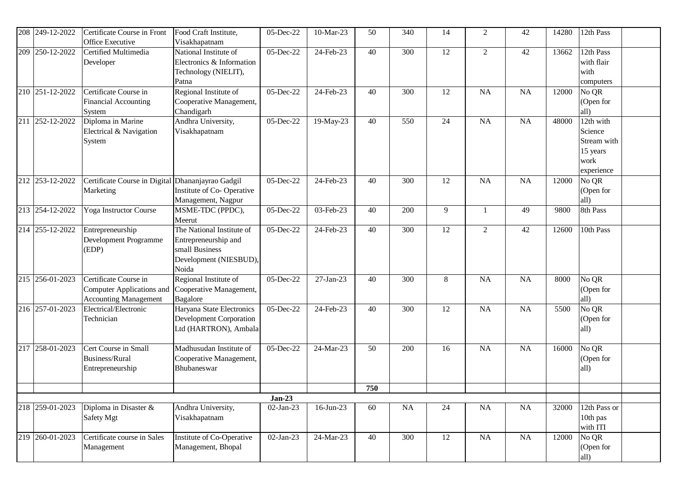|     | 208 249-12-2022 | Certificate Course in Front<br><b>Office Executive</b>                             | Food Craft Institute,<br>Visakhapatnam                                                                 | 05-Dec-22               | 10-Mar-23    | 50  | 340 | 14 | $\overline{2}$ | 42 | 14280 | 12th Pass                                                             |  |
|-----|-----------------|------------------------------------------------------------------------------------|--------------------------------------------------------------------------------------------------------|-------------------------|--------------|-----|-----|----|----------------|----|-------|-----------------------------------------------------------------------|--|
| 209 | 250-12-2022     | Certified Multimedia<br>Developer                                                  | National Institute of<br>Electronics & Information<br>Technology (NIELIT),<br>Patna                    | 05-Dec-22               | 24-Feb-23    | 40  | 300 | 12 | $\overline{2}$ | 42 | 13662 | 12th Pass<br>with flair<br>with<br>computers                          |  |
|     | 210 251-12-2022 | Certificate Course in<br>Financial Accounting<br>System                            | Regional Institute of<br>Cooperative Management,<br>Chandigarh                                         | $\overline{0}$ 5-Dec-22 | 24-Feb-23    | 40  | 300 | 12 | <b>NA</b>      | NA | 12000 | No QR<br>(Open for<br>all)                                            |  |
|     | 211 252-12-2022 | Diploma in Marine<br>Electrical & Navigation<br>System                             | Andhra University,<br>Visakhapatnam                                                                    | 05-Dec-22               | 19-May-23    | 40  | 550 | 24 | <b>NA</b>      | NA | 48000 | 12th with<br>Science<br>Stream with<br>15 years<br>work<br>experience |  |
|     | 212 253-12-2022 | Certificate Course in Digital<br>Marketing                                         | Dhananjayrao Gadgil<br>Institute of Co-Operative<br>Management, Nagpur                                 | 05-Dec-22               | 24-Feb-23    | 40  | 300 | 12 | <b>NA</b>      | NA | 12000 | No QR<br>(Open for<br>all)                                            |  |
|     | 213 254-12-2022 | Yoga Instructor Course                                                             | MSME-TDC (PPDC),<br>Meerut                                                                             | 05-Dec-22               | 03-Feb-23    | 40  | 200 | 9  | $\mathbf{1}$   | 49 | 9800  | 8th Pass                                                              |  |
|     | 214 255-12-2022 | Entrepreneurship<br>Development Programme<br>(EDP)                                 | The National Institute of<br>Entrepreneurship and<br>small Business<br>Development (NIESBUD),<br>Noida | 05-Dec-22               | 24-Feb-23    | 40  | 300 | 12 | $\overline{2}$ | 42 | 12600 | 10th Pass                                                             |  |
|     | 215 256-01-2023 | Certificate Course in<br>Computer Applications and<br><b>Accounting Management</b> | Regional Institute of<br>Cooperative Management,<br>Bagalore                                           | 05-Dec-22               | 27-Jan-23    | 40  | 300 | 8  | <b>NA</b>      | NA | 8000  | No QR<br>(Open for<br>all)                                            |  |
|     | 216 257-01-2023 | Electrical/Electronic<br>Technician                                                | Haryana State Electronics<br><b>Development Corporation</b><br>Ltd (HARTRON), Ambala                   | 05-Dec-22               | 24-Feb-23    | 40  | 300 | 12 | <b>NA</b>      | NA | 5500  | No QR<br>(Open for<br>all)                                            |  |
|     | 217 258-01-2023 | Cert Course in Small<br><b>Business/Rural</b><br>Entrepreneurship                  | Madhusudan Institute of<br>Cooperative Management,<br>Bhubaneswar                                      | 05-Dec-22               | 24-Mar-23    | 50  | 200 | 16 | <b>NA</b>      | NA | 16000 | No QR<br>(Open for<br>all)                                            |  |
|     |                 |                                                                                    |                                                                                                        |                         |              | 750 |     |    |                |    |       |                                                                       |  |
|     |                 |                                                                                    |                                                                                                        | $Jan-23$                |              |     |     |    |                |    |       |                                                                       |  |
|     | 218 259-01-2023 | Diploma in Disaster &<br>Safety Mgt                                                | Andhra University,<br>Visakhapatnam                                                                    | 02-Jan-23               | $16$ -Jun-23 | 60  | NA  | 24 | <b>NA</b>      | NA | 32000 | 12th Pass or<br>10th pas<br>with ITI                                  |  |
|     | 219 260-01-2023 | Certificate course in Sales<br>Management                                          | <b>Institute of Co-Operative</b><br>Management, Bhopal                                                 | 02-Jan-23               | 24-Mar-23    | 40  | 300 | 12 | NA             | NA | 12000 | No QR<br>(Open for<br>all)                                            |  |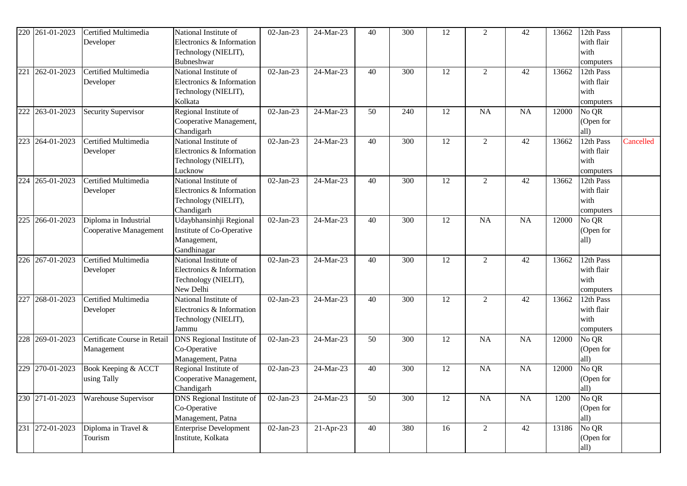| 220 | 261-01-2023     | Certified Multimedia<br>Developer               | National Institute of<br>Electronics & Information<br>Technology (NIELIT),                          | 02-Jan-23   | 24-Mar-23   | 40 | 300              | 12              | $\overline{2}$  | 42              | 13662 | 12th Pass<br>with flair<br>with                           |           |
|-----|-----------------|-------------------------------------------------|-----------------------------------------------------------------------------------------------------|-------------|-------------|----|------------------|-----------------|-----------------|-----------------|-------|-----------------------------------------------------------|-----------|
| 221 | 262-01-2023     | Certified Multimedia<br>Developer               | Bubneshwar<br>National Institute of<br>Electronics & Information<br>Technology (NIELIT),<br>Kolkata | 02-Jan-23   | 24-Mar-23   | 40 | 300              | 12              | $\overline{2}$  | 42              | 13662 | computers<br>12th Pass<br>with flair<br>with<br>computers |           |
|     | 222 263-01-2023 | Security Supervisor                             | Regional Institute of<br>Cooperative Management,<br>Chandigarh                                      | 02-Jan-23   | 24-Mar-23   | 50 | 240              | $\overline{12}$ | $\overline{NA}$ | $\overline{NA}$ | 12000 | No QR<br>(Open for<br>all)                                |           |
|     | 223 264-01-2023 | Certified Multimedia<br>Developer               | National Institute of<br>Electronics & Information<br>Technology (NIELIT),<br>Lucknow               | 02-Jan-23   | 24-Mar-23   | 40 | 300              | 12              | $\overline{2}$  | 42              | 13662 | 12th Pass<br>with flair<br>with<br>computers              | Cancelled |
| 224 | 265-01-2023     | Certified Multimedia<br>Developer               | National Institute of<br>Electronics & Information<br>Technology (NIELIT),<br>Chandigarh            | 02-Jan-23   | 24-Mar-23   | 40 | 300              | 12              | $\overline{2}$  | 42              | 13662 | 12th Pass<br>with flair<br>with<br>computers              |           |
| 225 | 266-01-2023     | Diploma in Industrial<br>Cooperative Management | Udaybhansinhji Regional<br>Institute of Co-Operative<br>Management,<br>Gandhinagar                  | 02-Jan-23   | 24-Mar-23   | 40 | 300              | 12              | <b>NA</b>       | <b>NA</b>       | 12000 | No QR<br>(Open for<br>all)                                |           |
|     | 226 267-01-2023 | Certified Multimedia<br>Developer               | National Institute of<br>Electronics & Information<br>Technology (NIELIT),<br>New Delhi             | 02-Jan-23   | 24-Mar-23   | 40 | $\overline{300}$ | $\overline{12}$ | $\overline{2}$  | $\overline{42}$ | 13662 | 12th Pass<br>with flair<br>with<br>computers              |           |
| 227 | 268-01-2023     | Certified Multimedia<br>Developer               | National Institute of<br>Electronics & Information<br>Technology (NIELIT),<br>Jammu                 | 02-Jan-23   | 24-Mar-23   | 40 | 300              | 12              | $\overline{2}$  | 42              | 13662 | 12th Pass<br>with flair<br>with<br>computers              |           |
|     | 228 269-01-2023 | Certificate Course in Retail<br>Management      | <b>DNS</b> Regional Institute of<br>Co-Operative<br>Management, Patna                               | $02-Jan-23$ | 24-Mar-23   | 50 | 300              | $\overline{12}$ | $\overline{NA}$ | $\overline{NA}$ | 12000 | No QR<br>(Open for<br>all)                                |           |
|     | 229 270-01-2023 | Book Keeping & ACCT<br>using Tally              | Regional Institute of<br>Cooperative Management,<br>Chandigarh                                      | 02-Jan-23   | 24-Mar-23   | 40 | 300              | 12              | <b>NA</b>       | NA              | 12000 | No QR<br>(Open for<br>all)                                |           |
|     | 230 271-01-2023 | Warehouse Supervisor                            | <b>DNS</b> Regional Institute of<br>Co-Operative<br>Management, Patna                               | 02-Jan-23   | 24-Mar-23   | 50 | 300              | 12              | NA              | NA              | 1200  | No QR<br>(Open for<br>all)                                |           |
|     | 231 272-01-2023 | Diploma in Travel &<br>Tourism                  | <b>Enterprise Development</b><br>Institute, Kolkata                                                 | 02-Jan-23   | $21-Apr-23$ | 40 | 380              | 16              | $\overline{2}$  | 42              | 13186 | No QR<br>(Open for<br>all)                                |           |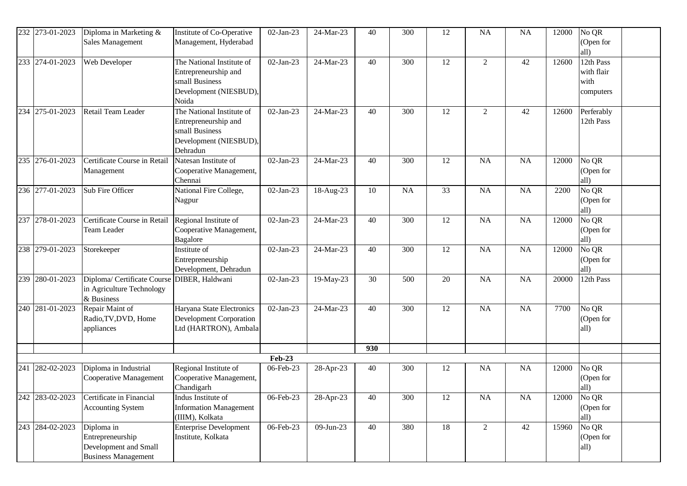|     | 232 273-01-2023 | Diploma in Marketing &       | Institute of Co-Operative          | 02-Jan-23                  | 24-Mar-23    | 40  | 300       | 12 | <b>NA</b>      | <b>NA</b> | 12000 | No QR                |  |
|-----|-----------------|------------------------------|------------------------------------|----------------------------|--------------|-----|-----------|----|----------------|-----------|-------|----------------------|--|
|     |                 | Sales Management             | Management, Hyderabad              |                            |              |     |           |    |                |           |       | (Open for            |  |
|     |                 |                              |                                    |                            |              |     |           |    |                |           |       | all)                 |  |
|     | 233 274-01-2023 | Web Developer                | The National Institute of          | 02-Jan-23                  | 24-Mar-23    | 40  | 300       | 12 | $\overline{c}$ | 42        | 12600 | 12th Pass            |  |
|     |                 |                              | Entrepreneurship and               |                            |              |     |           |    |                |           |       | with flair           |  |
|     |                 |                              | small Business                     |                            |              |     |           |    |                |           |       | with                 |  |
|     |                 |                              | Development (NIESBUD),             |                            |              |     |           |    |                |           |       | computers            |  |
|     |                 |                              | Noida                              |                            |              |     |           |    |                |           |       |                      |  |
| 234 | 275-01-2023     | Retail Team Leader           | The National Institute of          | 02-Jan-23                  | 24-Mar-23    | 40  | 300       | 12 | $\sqrt{2}$     | 42        | 12600 | Perferably           |  |
|     |                 |                              | Entrepreneurship and               |                            |              |     |           |    |                |           |       | 12th Pass            |  |
|     |                 |                              | small Business                     |                            |              |     |           |    |                |           |       |                      |  |
|     |                 |                              | Development (NIESBUD),             |                            |              |     |           |    |                |           |       |                      |  |
|     | 276-01-2023     | Certificate Course in Retail | Dehradun<br>Natesan Institute of   | $02-Jan-23$                | 24-Mar-23    |     |           | 12 | <b>NA</b>      | NA        | 12000 | No QR                |  |
| 235 |                 |                              |                                    |                            |              | 40  | 300       |    |                |           |       | (Open for            |  |
|     |                 | Management                   | Cooperative Management,<br>Chennai |                            |              |     |           |    |                |           |       | all)                 |  |
|     | 236 277-01-2023 | Sub Fire Officer             | National Fire College,             | 02-Jan-23                  | 18-Aug-23    | 10  | <b>NA</b> | 33 | <b>NA</b>      | <b>NA</b> | 2200  | No QR                |  |
|     |                 |                              | Nagpur                             |                            |              |     |           |    |                |           |       | (Open for            |  |
|     |                 |                              |                                    |                            |              |     |           |    |                |           |       | all)                 |  |
| 237 | 278-01-2023     | Certificate Course in Retail | Regional Institute of              | 02-Jan-23                  | 24-Mar-23    | 40  | 300       | 12 | <b>NA</b>      | NA        | 12000 | No QR                |  |
|     |                 | Team Leader                  | Cooperative Management,            |                            |              |     |           |    |                |           |       | (Open for            |  |
|     |                 |                              | Bagalore                           |                            |              |     |           |    |                |           |       | all)                 |  |
|     | 238 279-01-2023 | Storekeeper                  | Institute of                       | 02-Jan-23                  | 24-Mar-23    | 40  | 300       | 12 | <b>NA</b>      | NA        | 12000 | No QR                |  |
|     |                 |                              | Entrepreneurship                   |                            |              |     |           |    |                |           |       | (Open for            |  |
|     |                 |                              | Development, Dehradun              |                            |              |     |           |    |                |           |       | all)                 |  |
| 239 | 280-01-2023     | Diploma/Certificate Course   | DIBER, Haldwani                    | 02-Jan-23                  | 19-May-23    | 30  | 500       | 20 | <b>NA</b>      | NA        | 20000 | 12th Pass            |  |
|     |                 | in Agriculture Technology    |                                    |                            |              |     |           |    |                |           |       |                      |  |
|     |                 | & Business                   |                                    |                            |              |     |           |    |                |           |       |                      |  |
| 240 | 281-01-2023     | Repair Maint of              | Haryana State Electronics          | 02-Jan-23                  | 24-Mar-23    | 40  | 300       | 12 | <b>NA</b>      | NA        | 7700  | No QR                |  |
|     |                 | Radio, TV, DVD, Home         | Development Corporation            |                            |              |     |           |    |                |           |       | (Open for            |  |
|     |                 | appliances                   | Ltd (HARTRON), Ambala              |                            |              |     |           |    |                |           |       | all)                 |  |
|     |                 |                              |                                    |                            |              |     |           |    |                |           |       |                      |  |
|     |                 |                              |                                    |                            |              | 930 |           |    |                |           |       |                      |  |
| 241 | 282-02-2023     | Diploma in Industrial        | Regional Institute of              | <b>Feb-23</b><br>06-Feb-23 | 28-Apr-23    | 40  | 300       | 12 | NA             | NA        | 12000 | $\overline{{N}_0$ QR |  |
|     |                 | Cooperative Management       | Cooperative Management,            |                            |              |     |           |    |                |           |       | (Open for            |  |
|     |                 |                              | Chandigarh                         |                            |              |     |           |    |                |           |       | all)                 |  |
|     | 242 283-02-2023 | Certificate in Financial     | Indus Institute of                 | 06-Feb-23                  | 28-Apr-23    | 40  | 300       | 12 | NA             | NA        | 12000 | No QR                |  |
|     |                 | <b>Accounting System</b>     | <b>Information Management</b>      |                            |              |     |           |    |                |           |       | (Open for            |  |
|     |                 |                              | (IIIM), Kolkata                    |                            |              |     |           |    |                |           |       | all)                 |  |
|     | 243 284-02-2023 | Diploma in                   | <b>Enterprise Development</b>      | 06-Feb-23                  | $09$ -Jun-23 | 40  | 380       | 18 | $\overline{2}$ | 42        | 15960 | No QR                |  |
|     |                 | Entrepreneurship             | Institute, Kolkata                 |                            |              |     |           |    |                |           |       | (Open for            |  |
|     |                 | Development and Small        |                                    |                            |              |     |           |    |                |           |       | all)                 |  |
|     |                 | <b>Business Management</b>   |                                    |                            |              |     |           |    |                |           |       |                      |  |
|     |                 |                              |                                    |                            |              |     |           |    |                |           |       |                      |  |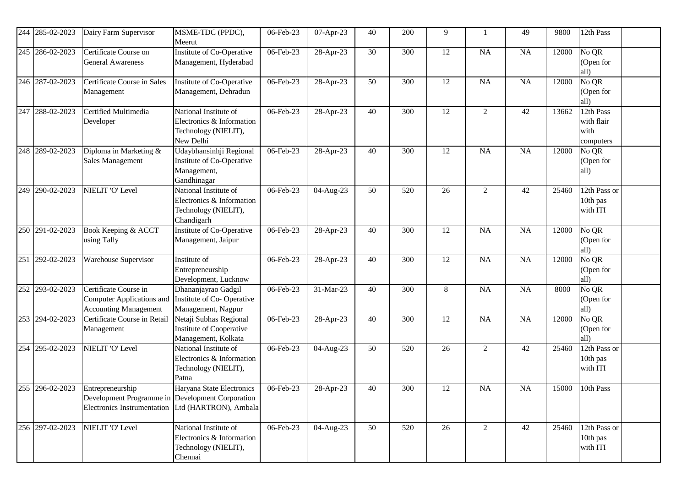| 244 | 285-02-2023     | Dairy Farm Supervisor                                                                                                       | MSME-TDC (PPDC),<br>Meerut                                                               | 06-Feb-23 | 07-Apr-23   | 40 | 200 | 9  |                | 49        | 9800  | 12th Pass                                    |
|-----|-----------------|-----------------------------------------------------------------------------------------------------------------------------|------------------------------------------------------------------------------------------|-----------|-------------|----|-----|----|----------------|-----------|-------|----------------------------------------------|
|     | 245 286-02-2023 | Certificate Course on<br><b>General Awareness</b>                                                                           | Institute of Co-Operative<br>Management, Hyderabad                                       | 06-Feb-23 | 28-Apr-23   | 30 | 300 | 12 | NA             | <b>NA</b> | 12000 | No QR<br>(Open for<br>all)                   |
|     | 246 287-02-2023 | Certificate Course in Sales<br>Management                                                                                   | Institute of Co-Operative<br>Management, Dehradun                                        | 06-Feb-23 | 28-Apr-23   | 50 | 300 | 12 | NA             | NA        | 12000 | No QR<br>(Open for<br>all)                   |
| 247 | 288-02-2023     | Certified Multimedia<br>Developer                                                                                           | National Institute of<br>Electronics & Information<br>Technology (NIELIT),<br>New Delhi  | 06-Feb-23 | 28-Apr-23   | 40 | 300 | 12 | $\overline{2}$ | 42        | 13662 | 12th Pass<br>with flair<br>with<br>computers |
| 248 | 289-02-2023     | Diploma in Marketing &<br>Sales Management                                                                                  | Udaybhansinhji Regional<br>Institute of Co-Operative<br>Management,<br>Gandhinagar       | 06-Feb-23 | 28-Apr-23   | 40 | 300 | 12 | NA             | NA        | 12000 | No QR<br>(Open for<br>all)                   |
| 249 | 290-02-2023     | NIELIT 'O' Level                                                                                                            | National Institute of<br>Electronics & Information<br>Technology (NIELIT),<br>Chandigarh | 06-Feb-23 | 04-Aug-23   | 50 | 520 | 26 | 2              | 42        | 25460 | 12th Pass or<br>10th pas<br>with ITI         |
|     | 250 291-02-2023 | Book Keeping & ACCT<br>using Tally                                                                                          | Institute of Co-Operative<br>Management, Jaipur                                          | 06-Feb-23 | 28-Apr-23   | 40 | 300 | 12 | NA             | NA        | 12000 | No QR<br>(Open for<br>all)                   |
|     | 251 292-02-2023 | Warehouse Supervisor                                                                                                        | Institute of<br>Entrepreneurship<br>Development, Lucknow                                 | 06-Feb-23 | 28-Apr-23   | 40 | 300 | 12 | NA             | NA        | 12000 | No QR<br>(Open for<br>all)                   |
|     | 252 293-02-2023 | Certificate Course in<br>Computer Applications and<br><b>Accounting Management</b>                                          | Dhananjayrao Gadgil<br>Institute of Co-Operative<br>Management, Nagpur                   | 06-Feb-23 | 31-Mar-23   | 40 | 300 | 8  | NA             | NA        | 8000  | No QR<br>(Open for<br>all)                   |
|     | 253 294-02-2023 | Certificate Course in Retail<br>Management                                                                                  | Netaji Subhas Regional<br>Institute of Cooperative<br>Management, Kolkata                | 06-Feb-23 | 28-Apr-23   | 40 | 300 | 12 | <b>NA</b>      | NA        | 12000 | No QR<br>(Open for<br>all)                   |
|     | 254 295-02-2023 | NIELIT 'O' Level                                                                                                            | National Institute of<br>Electronics & Information<br>Technology (NIELIT),<br>Patna      | 06-Feb-23 | 04-Aug-23   | 50 | 520 | 26 | 2              | 42        | 25460 | 12th Pass or<br>10th pas<br>with ITI         |
|     | 255 296-02-2023 | Entrepreneurship<br>Development Programme in Development Corporation<br>Electronics Instrumentation   Ltd (HARTRON), Ambala | Haryana State Electronics                                                                | 06-Feb-23 | $28-Apr-23$ | 40 | 300 | 12 | NA             | <b>NA</b> | 15000 | 10th Pass                                    |
|     | 256 297-02-2023 | NIELIT 'O' Level                                                                                                            | National Institute of<br>Electronics & Information<br>Technology (NIELIT),<br>Chennai    | 06-Feb-23 | 04-Aug-23   | 50 | 520 | 26 | $\overline{2}$ | 42        | 25460 | 12th Pass or<br>10th pas<br>with ITI         |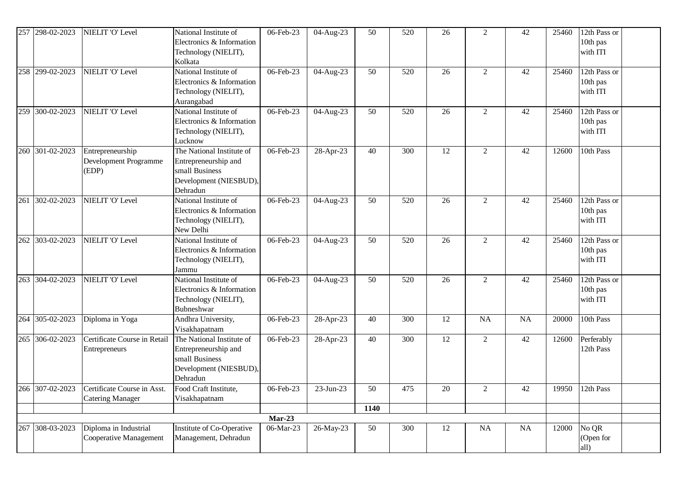| 257 | 298-02-2023     | NIELIT 'O' Level                                       | National Institute of<br>Electronics & Information<br>Technology (NIELIT),<br>Kolkata                     | 06-Feb-23    | 04-Aug-23    | 50   | 520 | 26 | $\overline{2}$ | 42 | 25460 | 12th Pass or<br>10th pas<br>with ITI |
|-----|-----------------|--------------------------------------------------------|-----------------------------------------------------------------------------------------------------------|--------------|--------------|------|-----|----|----------------|----|-------|--------------------------------------|
|     | 258 299-02-2023 | NIELIT 'O' Level                                       | National Institute of<br>Electronics & Information<br>Technology (NIELIT),<br>Aurangabad                  | 06-Feb-23    | 04-Aug-23    | 50   | 520 | 26 | $\overline{2}$ | 42 | 25460 | 12th Pass or<br>10th pas<br>with ITI |
| 259 | 300-02-2023     | NIELIT 'O' Level                                       | National Institute of<br>Electronics & Information<br>Technology (NIELIT),<br>Lucknow                     | 06-Feb-23    | $04-Aug-23$  | 50   | 520 | 26 | $\overline{2}$ | 42 | 25460 | 12th Pass or<br>10th pas<br>with ITI |
| 260 | 301-02-2023     | Entrepreneurship<br>Development Programme<br>(EDP)     | The National Institute of<br>Entrepreneurship and<br>small Business<br>Development (NIESBUD),<br>Dehradun | 06-Feb-23    | 28-Apr-23    | 40   | 300 | 12 | $\overline{2}$ | 42 | 12600 | 10th Pass                            |
| 261 | 302-02-2023     | NIELIT 'O' Level                                       | National Institute of<br>Electronics & Information<br>Technology (NIELIT),<br>New Delhi                   | 06-Feb-23    | 04-Aug-23    | 50   | 520 | 26 | $\overline{2}$ | 42 | 25460 | 12th Pass or<br>10th pas<br>with ITI |
| 262 | 303-02-2023     | NIELIT 'O' Level                                       | National Institute of<br>Electronics & Information<br>Technology (NIELIT),<br>Jammu                       | 06-Feb-23    | 04-Aug-23    | 50   | 520 | 26 | $\overline{2}$ | 42 | 25460 | 12th Pass or<br>10th pas<br>with ITI |
| 263 | 304-02-2023     | NIELIT 'O' Level                                       | National Institute of<br>Electronics & Information<br>Technology (NIELIT),<br>Bubneshwar                  | 06-Feb-23    | 04-Aug-23    | 50   | 520 | 26 | $\overline{2}$ | 42 | 25460 | 12th Pass or<br>10th pas<br>with ITI |
|     | 264 305-02-2023 | Diploma in Yoga                                        | Andhra University,<br>Visakhapatnam                                                                       | $06$ -Feb-23 | 28-Apr-23    | 40   | 300 | 12 | <b>NA</b>      | NA | 20000 | 10th Pass                            |
| 265 | 306-02-2023     | Certificate Course in Retail<br>Entrepreneurs          | The National Institute of<br>Entrepreneurship and<br>small Business<br>Development (NIESBUD),<br>Dehradun | 06-Feb-23    | 28-Apr-23    | 40   | 300 | 12 | $\overline{2}$ | 42 | 12600 | Perferably<br>12th Pass              |
|     | 266 307-02-2023 | Certificate Course in Asst.<br><b>Catering Manager</b> | Food Craft Institute,<br>Visakhapatnam                                                                    | 06-Feb-23    | $23$ -Jun-23 | 50   | 475 | 20 | $\overline{2}$ | 42 | 19950 | 12th Pass                            |
|     |                 |                                                        |                                                                                                           |              |              | 1140 |     |    |                |    |       |                                      |
|     |                 |                                                        |                                                                                                           | $Mar-23$     |              |      |     |    |                |    |       |                                      |
|     | 267 308-03-2023 | Diploma in Industrial<br>Cooperative Management        | Institute of Co-Operative<br>Management, Dehradun                                                         | 06-Mar-23    | 26-May-23    | 50   | 300 | 12 | NA             | NA | 12000 | No QR<br>(Open for<br>all)           |